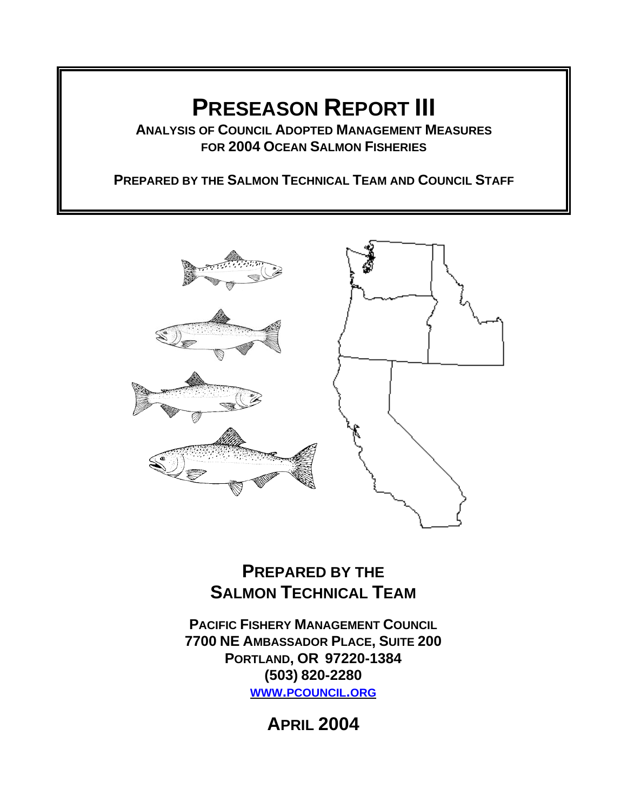# **PRESEASON REPORT III**

**ANALYSIS OF COUNCIL ADOPTED MANAGEMENT MEASURES FOR 2004 OCEAN SALMON FISHERIES**

**PREPARED BY THE SALMON TECHNICAL TEAM AND COUNCIL STAFF**



## **PREPARED BY THE SALMON TECHNICAL TEAM**

**PACIFIC FISHERY MANAGEMENT COUNCIL 7700 NE AMBASSADOR PLACE, SUITE 200 PORTLAND, OR 97220-1384 (503) 820-2280 WWW.PCOUNCIL.ORG**

## **APRIL 2004**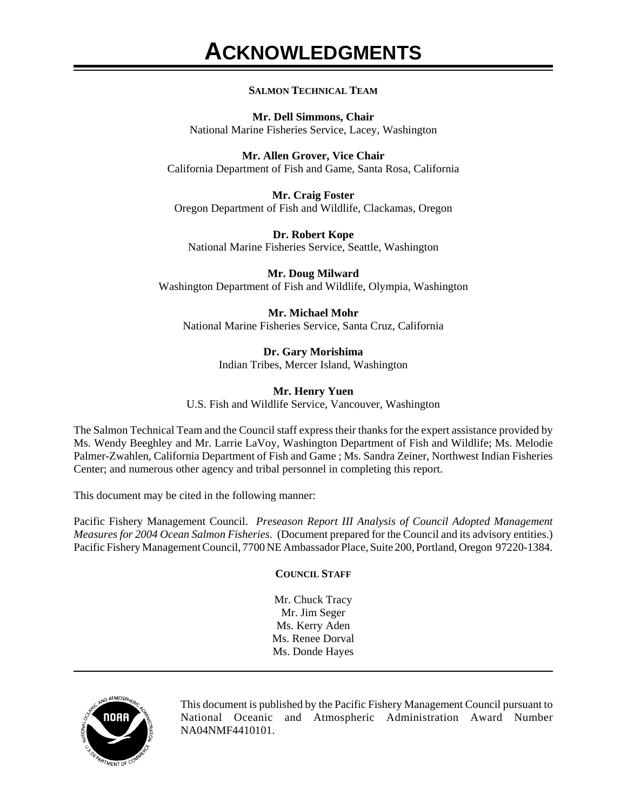## **SALMON TECHNICAL TEAM**

**Mr. Dell Simmons, Chair** National Marine Fisheries Service, Lacey, Washington

**Mr. Allen Grover, Vice Chair** California Department of Fish and Game, Santa Rosa, California

**Mr. Craig Foster** Oregon Department of Fish and Wildlife, Clackamas, Oregon

**Dr. Robert Kope** National Marine Fisheries Service, Seattle, Washington

**Mr. Doug Milward** Washington Department of Fish and Wildlife, Olympia, Washington

**Mr. Michael Mohr** National Marine Fisheries Service, Santa Cruz, California

> **Dr. Gary Morishima** Indian Tribes, Mercer Island, Washington

> > **Mr. Henry Yuen**

U.S. Fish and Wildlife Service, Vancouver, Washington

The Salmon Technical Team and the Council staff express their thanks for the expert assistance provided by Ms. Wendy Beeghley and Mr. Larrie LaVoy, Washington Department of Fish and Wildlife; Ms. Melodie Palmer-Zwahlen, California Department of Fish and Game ; Ms. Sandra Zeiner, Northwest Indian Fisheries Center; and numerous other agency and tribal personnel in completing this report.

This document may be cited in the following manner:

Pacific Fishery Management Council. *Preseason Report III Analysis of Council Adopted Management Measures for 2004 Ocean Salmon Fisheries*. (Document prepared for the Council and its advisory entities.) Pacific Fishery Management Council, 7700 NE Ambassador Place, Suite 200, Portland, Oregon 97220-1384.

## **COUNCIL STAFF**

Mr. Chuck Tracy Mr. Jim Seger Ms. Kerry Aden Ms. Renee Dorval Ms. Donde Hayes



This document is published by the Pacific Fishery Management Council pursuant to National Oceanic and Atmospheric Administration Award Number NA04NMF4410101.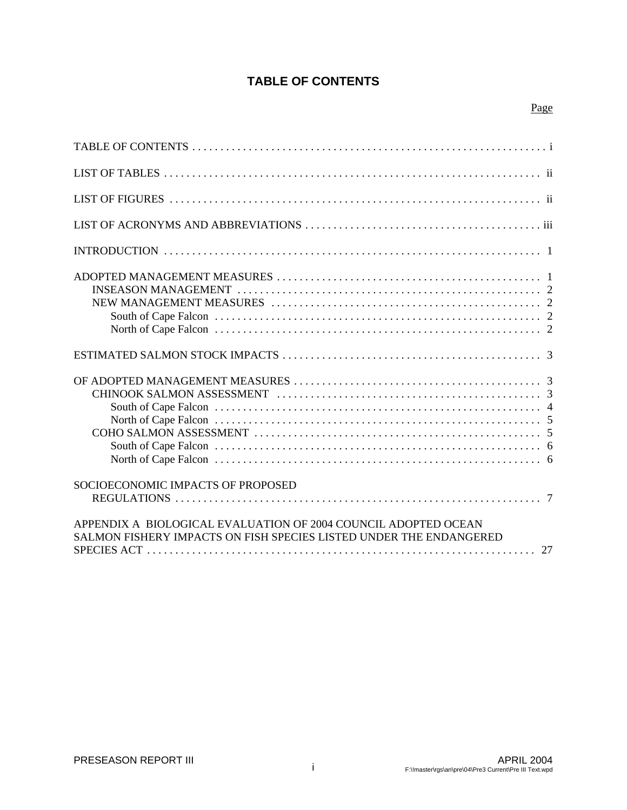## **TABLE OF CONTENTS**

| SOCIOECONOMIC IMPACTS OF PROPOSED                                                                                                    |
|--------------------------------------------------------------------------------------------------------------------------------------|
| APPENDIX A BIOLOGICAL EVALUATION OF 2004 COUNCIL ADOPTED OCEAN<br>SALMON FISHERY IMPACTS ON FISH SPECIES LISTED UNDER THE ENDANGERED |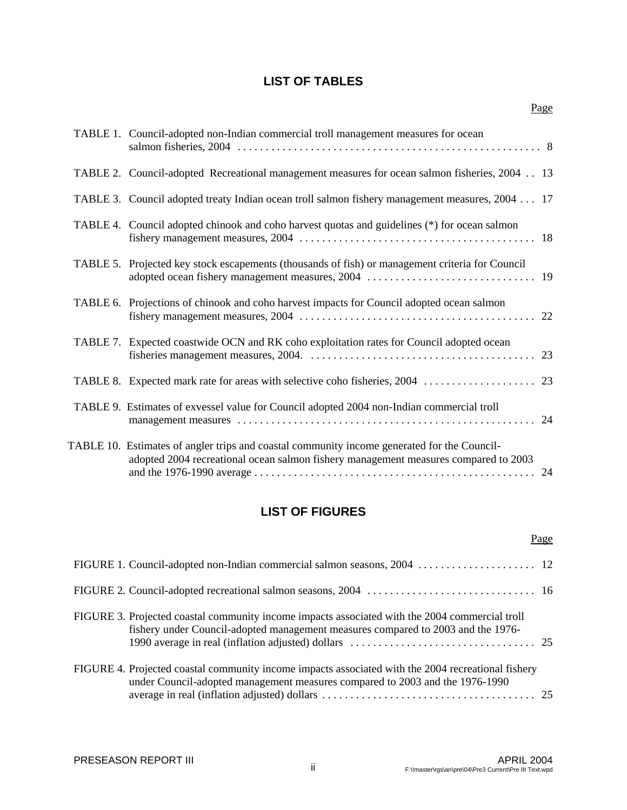## **LIST OF TABLES**

| TABLE 1. Council-adopted non-Indian commercial troll management measures for ocean                                                                                                 |  |
|------------------------------------------------------------------------------------------------------------------------------------------------------------------------------------|--|
| TABLE 2. Council-adopted Recreational management measures for ocean salmon fisheries, 2004 . 13                                                                                    |  |
| TABLE 3. Council adopted treaty Indian ocean troll salmon fishery management measures, 2004 17                                                                                     |  |
| TABLE 4. Council adopted chinook and coho harvest quotas and guidelines (*) for ocean salmon                                                                                       |  |
| TABLE 5. Projected key stock escapements (thousands of fish) or management criteria for Council                                                                                    |  |
| TABLE 6. Projections of chinook and coho harvest impacts for Council adopted ocean salmon                                                                                          |  |
| TABLE 7. Expected coastwide OCN and RK coho exploitation rates for Council adopted ocean                                                                                           |  |
|                                                                                                                                                                                    |  |
| TABLE 9. Estimates of exvessel value for Council adopted 2004 non-Indian commercial troll                                                                                          |  |
| TABLE 10. Estimates of angler trips and coastal community income generated for the Council-<br>adopted 2004 recreational ocean salmon fishery management measures compared to 2003 |  |

## **LIST OF FIGURES**

## Page

| FIGURE 3. Projected coastal community income impacts associated with the 2004 commercial troll<br>fishery under Council-adopted management measures compared to 2003 and the 1976- |  |
|------------------------------------------------------------------------------------------------------------------------------------------------------------------------------------|--|
| FIGURE 4. Projected coastal community income impacts associated with the 2004 recreational fishery<br>under Council-adopted management measures compared to 2003 and the 1976-1990 |  |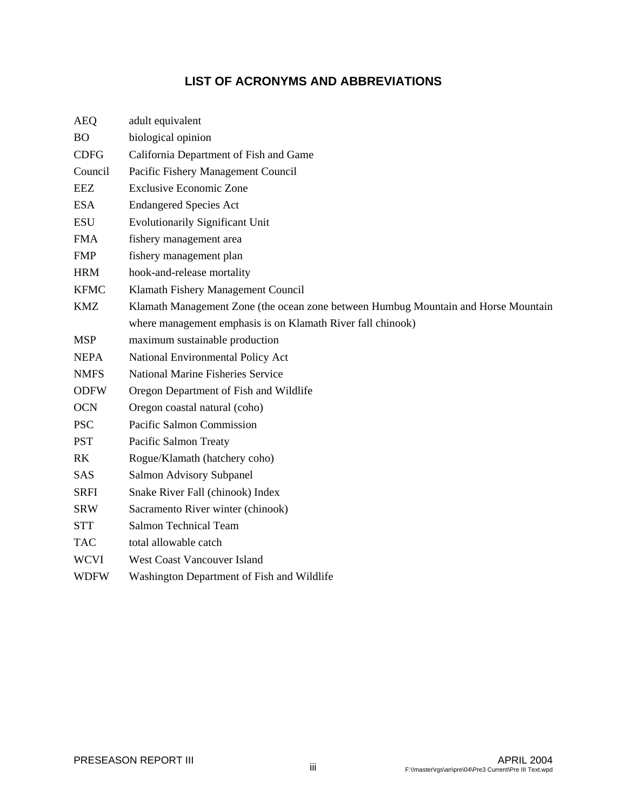## **LIST OF ACRONYMS AND ABBREVIATIONS**

| <b>AEO</b>  | adult equivalent                                                                   |  |  |  |  |  |
|-------------|------------------------------------------------------------------------------------|--|--|--|--|--|
| <b>BO</b>   | biological opinion                                                                 |  |  |  |  |  |
| <b>CDFG</b> | California Department of Fish and Game                                             |  |  |  |  |  |
| Council     | Pacific Fishery Management Council                                                 |  |  |  |  |  |
| <b>EEZ</b>  | <b>Exclusive Economic Zone</b>                                                     |  |  |  |  |  |
| <b>ESA</b>  | <b>Endangered Species Act</b>                                                      |  |  |  |  |  |
| <b>ESU</b>  | <b>Evolutionarily Significant Unit</b>                                             |  |  |  |  |  |
| <b>FMA</b>  | fishery management area                                                            |  |  |  |  |  |
| <b>FMP</b>  | fishery management plan                                                            |  |  |  |  |  |
| <b>HRM</b>  | hook-and-release mortality                                                         |  |  |  |  |  |
| <b>KFMC</b> | Klamath Fishery Management Council                                                 |  |  |  |  |  |
| <b>KMZ</b>  | Klamath Management Zone (the ocean zone between Humbug Mountain and Horse Mountain |  |  |  |  |  |
|             | where management emphasis is on Klamath River fall chinook)                        |  |  |  |  |  |
| <b>MSP</b>  | maximum sustainable production                                                     |  |  |  |  |  |
| <b>NEPA</b> | National Environmental Policy Act                                                  |  |  |  |  |  |
| <b>NMFS</b> | <b>National Marine Fisheries Service</b>                                           |  |  |  |  |  |
| <b>ODFW</b> | Oregon Department of Fish and Wildlife                                             |  |  |  |  |  |
| <b>OCN</b>  | Oregon coastal natural (coho)                                                      |  |  |  |  |  |
| <b>PSC</b>  | Pacific Salmon Commission                                                          |  |  |  |  |  |
| <b>PST</b>  | Pacific Salmon Treaty                                                              |  |  |  |  |  |
| RK          | Rogue/Klamath (hatchery coho)                                                      |  |  |  |  |  |
| <b>SAS</b>  | Salmon Advisory Subpanel                                                           |  |  |  |  |  |
| <b>SRFI</b> | Snake River Fall (chinook) Index                                                   |  |  |  |  |  |
| <b>SRW</b>  | Sacramento River winter (chinook)                                                  |  |  |  |  |  |
| <b>STT</b>  | <b>Salmon Technical Team</b>                                                       |  |  |  |  |  |
| <b>TAC</b>  | total allowable catch                                                              |  |  |  |  |  |
| <b>WCVI</b> | West Coast Vancouver Island                                                        |  |  |  |  |  |
| <b>WDFW</b> | Washington Department of Fish and Wildlife                                         |  |  |  |  |  |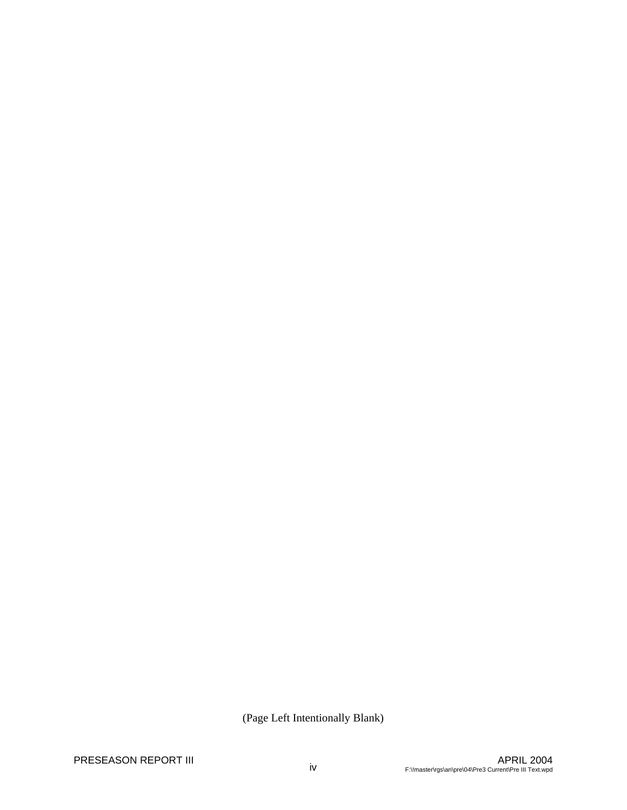(Page Left Intentionally Blank)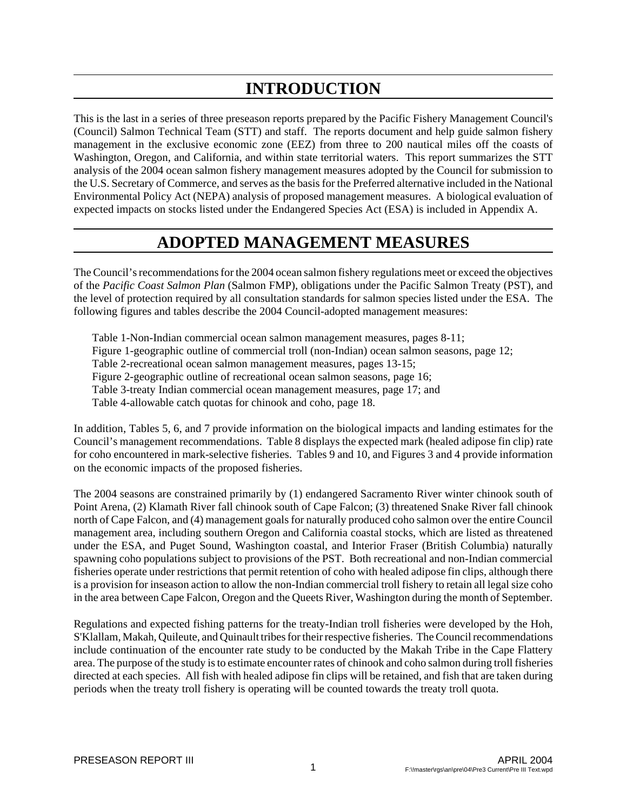## **INTRODUCTION**

This is the last in a series of three preseason reports prepared by the Pacific Fishery Management Council's (Council) Salmon Technical Team (STT) and staff. The reports document and help guide salmon fishery management in the exclusive economic zone (EEZ) from three to 200 nautical miles off the coasts of Washington, Oregon, and California, and within state territorial waters. This report summarizes the STT analysis of the 2004 ocean salmon fishery management measures adopted by the Council for submission to the U.S. Secretary of Commerce, and serves as the basis for the Preferred alternative included in the National Environmental Policy Act (NEPA) analysis of proposed management measures. A biological evaluation of expected impacts on stocks listed under the Endangered Species Act (ESA) is included in Appendix A.

## **ADOPTED MANAGEMENT MEASURES**

The Council's recommendations for the 2004 ocean salmon fishery regulations meet or exceed the objectives of the *Pacific Coast Salmon Plan* (Salmon FMP), obligations under the Pacific Salmon Treaty (PST), and the level of protection required by all consultation standards for salmon species listed under the ESA. The following figures and tables describe the 2004 Council-adopted management measures:

Table 1-Non-Indian commercial ocean salmon management measures, pages 8-11; Figure 1-geographic outline of commercial troll (non-Indian) ocean salmon seasons, page 12; Table 2-recreational ocean salmon management measures, pages 13-15; Figure 2-geographic outline of recreational ocean salmon seasons, page 16; Table 3-treaty Indian commercial ocean management measures, page 17; and Table 4-allowable catch quotas for chinook and coho, page 18.

In addition, Tables 5, 6, and 7 provide information on the biological impacts and landing estimates for the Council's management recommendations. Table 8 displays the expected mark (healed adipose fin clip) rate for coho encountered in mark-selective fisheries. Tables 9 and 10, and Figures 3 and 4 provide information on the economic impacts of the proposed fisheries.

The 2004 seasons are constrained primarily by (1) endangered Sacramento River winter chinook south of Point Arena, (2) Klamath River fall chinook south of Cape Falcon; (3) threatened Snake River fall chinook north of Cape Falcon, and (4) management goals for naturally produced coho salmon over the entire Council management area, including southern Oregon and California coastal stocks, which are listed as threatened under the ESA, and Puget Sound, Washington coastal, and Interior Fraser (British Columbia) naturally spawning coho populations subject to provisions of the PST. Both recreational and non-Indian commercial fisheries operate under restrictions that permit retention of coho with healed adipose fin clips, although there is a provision for inseason action to allow the non-Indian commercial troll fishery to retain all legal size coho in the area between Cape Falcon, Oregon and the Queets River, Washington during the month of September.

Regulations and expected fishing patterns for the treaty-Indian troll fisheries were developed by the Hoh, S'Klallam, Makah, Quileute, and Quinault tribes for their respective fisheries. The Council recommendations include continuation of the encounter rate study to be conducted by the Makah Tribe in the Cape Flattery area. The purpose of the study is to estimate encounter rates of chinook and coho salmon during troll fisheries directed at each species. All fish with healed adipose fin clips will be retained, and fish that are taken during periods when the treaty troll fishery is operating will be counted towards the treaty troll quota.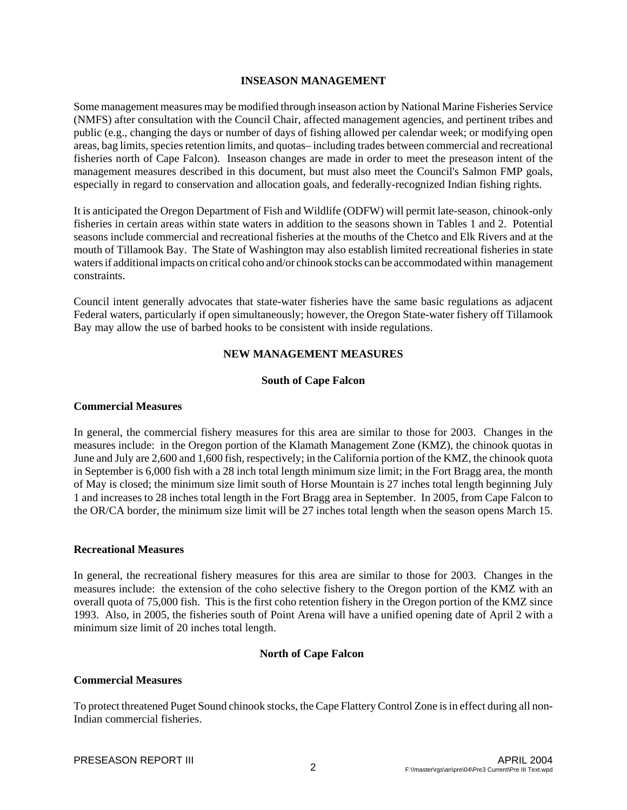### **INSEASON MANAGEMENT**

Some management measures may be modified through inseason action by National Marine Fisheries Service (NMFS) after consultation with the Council Chair, affected management agencies, and pertinent tribes and public (e.g., changing the days or number of days of fishing allowed per calendar week; or modifying open areas, bag limits, species retention limits, and quotas– including trades between commercial and recreational fisheries north of Cape Falcon). Inseason changes are made in order to meet the preseason intent of the management measures described in this document, but must also meet the Council's Salmon FMP goals, especially in regard to conservation and allocation goals, and federally-recognized Indian fishing rights.

It is anticipated the Oregon Department of Fish and Wildlife (ODFW) will permit late-season, chinook-only fisheries in certain areas within state waters in addition to the seasons shown in Tables 1 and 2. Potential seasons include commercial and recreational fisheries at the mouths of the Chetco and Elk Rivers and at the mouth of Tillamook Bay. The State of Washington may also establish limited recreational fisheries in state waters if additional impacts on critical coho and/or chinook stocks can be accommodated within management constraints.

Council intent generally advocates that state-water fisheries have the same basic regulations as adjacent Federal waters, particularly if open simultaneously; however, the Oregon State-water fishery off Tillamook Bay may allow the use of barbed hooks to be consistent with inside regulations.

## **NEW MANAGEMENT MEASURES**

## **South of Cape Falcon**

### **Commercial Measures**

In general, the commercial fishery measures for this area are similar to those for 2003. Changes in the measures include: in the Oregon portion of the Klamath Management Zone (KMZ), the chinook quotas in June and July are 2,600 and 1,600 fish, respectively; in the California portion of the KMZ, the chinook quota in September is 6,000 fish with a 28 inch total length minimum size limit; in the Fort Bragg area, the month of May is closed; the minimum size limit south of Horse Mountain is 27 inches total length beginning July 1 and increases to 28 inches total length in the Fort Bragg area in September. In 2005, from Cape Falcon to the OR/CA border, the minimum size limit will be 27 inches total length when the season opens March 15.

### **Recreational Measures**

In general, the recreational fishery measures for this area are similar to those for 2003. Changes in the measures include: the extension of the coho selective fishery to the Oregon portion of the KMZ with an overall quota of 75,000 fish. This is the first coho retention fishery in the Oregon portion of the KMZ since 1993. Also, in 2005, the fisheries south of Point Arena will have a unified opening date of April 2 with a minimum size limit of 20 inches total length.

## **North of Cape Falcon**

## **Commercial Measures**

To protect threatened Puget Sound chinook stocks, the Cape Flattery Control Zone is in effect during all non-Indian commercial fisheries.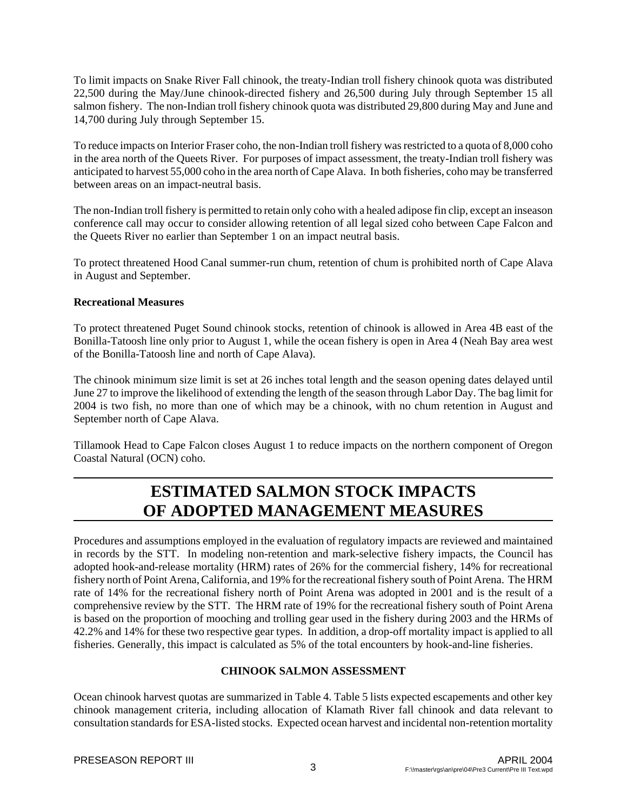To limit impacts on Snake River Fall chinook, the treaty-Indian troll fishery chinook quota was distributed 22,500 during the May/June chinook-directed fishery and 26,500 during July through September 15 all salmon fishery. The non-Indian troll fishery chinook quota was distributed 29,800 during May and June and 14,700 during July through September 15.

To reduce impacts on Interior Fraser coho, the non-Indian troll fishery was restricted to a quota of 8,000 coho in the area north of the Queets River. For purposes of impact assessment, the treaty-Indian troll fishery was anticipated to harvest 55,000 coho in the area north of Cape Alava. In both fisheries, coho may be transferred between areas on an impact-neutral basis.

The non-Indian troll fishery is permitted to retain only coho with a healed adipose fin clip, except an inseason conference call may occur to consider allowing retention of all legal sized coho between Cape Falcon and the Queets River no earlier than September 1 on an impact neutral basis.

To protect threatened Hood Canal summer-run chum, retention of chum is prohibited north of Cape Alava in August and September.

## **Recreational Measures**

To protect threatened Puget Sound chinook stocks, retention of chinook is allowed in Area 4B east of the Bonilla-Tatoosh line only prior to August 1, while the ocean fishery is open in Area 4 (Neah Bay area west of the Bonilla-Tatoosh line and north of Cape Alava).

The chinook minimum size limit is set at 26 inches total length and the season opening dates delayed until June 27 to improve the likelihood of extending the length of the season through Labor Day. The bag limit for 2004 is two fish, no more than one of which may be a chinook, with no chum retention in August and September north of Cape Alava.

Tillamook Head to Cape Falcon closes August 1 to reduce impacts on the northern component of Oregon Coastal Natural (OCN) coho.

## **ESTIMATED SALMON STOCK IMPACTS OF ADOPTED MANAGEMENT MEASURES**

Procedures and assumptions employed in the evaluation of regulatory impacts are reviewed and maintained in records by the STT. In modeling non-retention and mark-selective fishery impacts, the Council has adopted hook-and-release mortality (HRM) rates of 26% for the commercial fishery, 14% for recreational fishery north of Point Arena, California, and 19% for the recreational fishery south of Point Arena. The HRM rate of 14% for the recreational fishery north of Point Arena was adopted in 2001 and is the result of a comprehensive review by the STT. The HRM rate of 19% for the recreational fishery south of Point Arena is based on the proportion of mooching and trolling gear used in the fishery during 2003 and the HRMs of 42.2% and 14% for these two respective gear types. In addition, a drop-off mortality impact is applied to all fisheries. Generally, this impact is calculated as 5% of the total encounters by hook-and-line fisheries.

## **CHINOOK SALMON ASSESSMENT**

Ocean chinook harvest quotas are summarized in Table 4. Table 5 lists expected escapements and other key chinook management criteria, including allocation of Klamath River fall chinook and data relevant to consultation standards for ESA-listed stocks. Expected ocean harvest and incidental non-retention mortality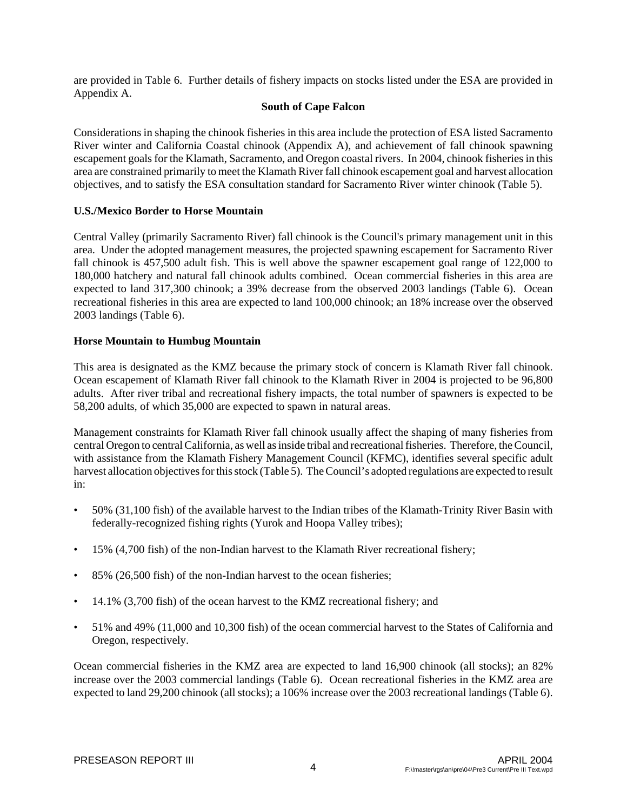are provided in Table 6. Further details of fishery impacts on stocks listed under the ESA are provided in Appendix A.

## **South of Cape Falcon**

Considerations in shaping the chinook fisheries in this area include the protection of ESA listed Sacramento River winter and California Coastal chinook (Appendix A), and achievement of fall chinook spawning escapement goals for the Klamath, Sacramento, and Oregon coastal rivers. In 2004, chinook fisheries in this area are constrained primarily to meet the Klamath River fall chinook escapement goal and harvest allocation objectives, and to satisfy the ESA consultation standard for Sacramento River winter chinook (Table 5).

## **U.S./Mexico Border to Horse Mountain**

Central Valley (primarily Sacramento River) fall chinook is the Council's primary management unit in this area. Under the adopted management measures, the projected spawning escapement for Sacramento River fall chinook is 457,500 adult fish. This is well above the spawner escapement goal range of 122,000 to 180,000 hatchery and natural fall chinook adults combined. Ocean commercial fisheries in this area are expected to land 317,300 chinook; a 39% decrease from the observed 2003 landings (Table 6). Ocean recreational fisheries in this area are expected to land 100,000 chinook; an 18% increase over the observed 2003 landings (Table 6).

## **Horse Mountain to Humbug Mountain**

This area is designated as the KMZ because the primary stock of concern is Klamath River fall chinook. Ocean escapement of Klamath River fall chinook to the Klamath River in 2004 is projected to be 96,800 adults. After river tribal and recreational fishery impacts, the total number of spawners is expected to be 58,200 adults, of which 35,000 are expected to spawn in natural areas.

Management constraints for Klamath River fall chinook usually affect the shaping of many fisheries from central Oregon to central California, as well as inside tribal and recreational fisheries. Therefore, the Council, with assistance from the Klamath Fishery Management Council (KFMC), identifies several specific adult harvest allocation objectives for this stock (Table 5). The Council's adopted regulations are expected to result in:

- 50% (31,100 fish) of the available harvest to the Indian tribes of the Klamath-Trinity River Basin with federally-recognized fishing rights (Yurok and Hoopa Valley tribes);
- 15% (4,700 fish) of the non-Indian harvest to the Klamath River recreational fishery;
- 85% (26,500 fish) of the non-Indian harvest to the ocean fisheries:
- 14.1% (3,700 fish) of the ocean harvest to the KMZ recreational fishery; and
- 51% and 49% (11,000 and 10,300 fish) of the ocean commercial harvest to the States of California and Oregon, respectively.

Ocean commercial fisheries in the KMZ area are expected to land 16,900 chinook (all stocks); an 82% increase over the 2003 commercial landings (Table 6). Ocean recreational fisheries in the KMZ area are expected to land 29,200 chinook (all stocks); a 106% increase over the 2003 recreational landings (Table 6).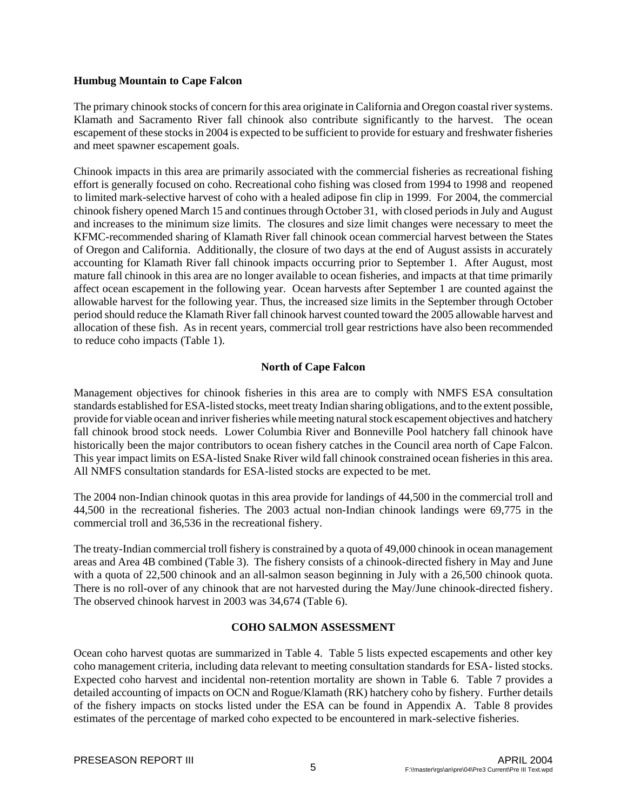### **Humbug Mountain to Cape Falcon**

The primary chinook stocks of concern for this area originate in California and Oregon coastal river systems. Klamath and Sacramento River fall chinook also contribute significantly to the harvest. The ocean escapement of these stocks in 2004 is expected to be sufficient to provide for estuary and freshwater fisheries and meet spawner escapement goals.

Chinook impacts in this area are primarily associated with the commercial fisheries as recreational fishing effort is generally focused on coho. Recreational coho fishing was closed from 1994 to 1998 and reopened to limited mark-selective harvest of coho with a healed adipose fin clip in 1999. For 2004, the commercial chinook fishery opened March 15 and continues through October 31, with closed periods in July and August and increases to the minimum size limits. The closures and size limit changes were necessary to meet the KFMC-recommended sharing of Klamath River fall chinook ocean commercial harvest between the States of Oregon and California. Additionally, the closure of two days at the end of August assists in accurately accounting for Klamath River fall chinook impacts occurring prior to September 1. After August, most mature fall chinook in this area are no longer available to ocean fisheries, and impacts at that time primarily affect ocean escapement in the following year. Ocean harvests after September 1 are counted against the allowable harvest for the following year. Thus, the increased size limits in the September through October period should reduce the Klamath River fall chinook harvest counted toward the 2005 allowable harvest and allocation of these fish. As in recent years, commercial troll gear restrictions have also been recommended to reduce coho impacts (Table 1).

## **North of Cape Falcon**

Management objectives for chinook fisheries in this area are to comply with NMFS ESA consultation standards established for ESA-listed stocks, meet treaty Indian sharing obligations, and to the extent possible, provide for viable ocean and inriver fisheries while meeting natural stock escapement objectives and hatchery fall chinook brood stock needs. Lower Columbia River and Bonneville Pool hatchery fall chinook have historically been the major contributors to ocean fishery catches in the Council area north of Cape Falcon. This year impact limits on ESA-listed Snake River wild fall chinook constrained ocean fisheries in this area. All NMFS consultation standards for ESA-listed stocks are expected to be met.

The 2004 non-Indian chinook quotas in this area provide for landings of 44,500 in the commercial troll and 44,500 in the recreational fisheries. The 2003 actual non-Indian chinook landings were 69,775 in the commercial troll and 36,536 in the recreational fishery.

The treaty-Indian commercial troll fishery is constrained by a quota of 49,000 chinook in ocean management areas and Area 4B combined (Table 3). The fishery consists of a chinook-directed fishery in May and June with a quota of 22,500 chinook and an all-salmon season beginning in July with a 26,500 chinook quota. There is no roll-over of any chinook that are not harvested during the May/June chinook-directed fishery. The observed chinook harvest in 2003 was 34,674 (Table 6).

## **COHO SALMON ASSESSMENT**

Ocean coho harvest quotas are summarized in Table 4. Table 5 lists expected escapements and other key coho management criteria, including data relevant to meeting consultation standards for ESA- listed stocks. Expected coho harvest and incidental non-retention mortality are shown in Table 6. Table 7 provides a detailed accounting of impacts on OCN and Rogue/Klamath (RK) hatchery coho by fishery. Further details of the fishery impacts on stocks listed under the ESA can be found in Appendix A. Table 8 provides estimates of the percentage of marked coho expected to be encountered in mark-selective fisheries.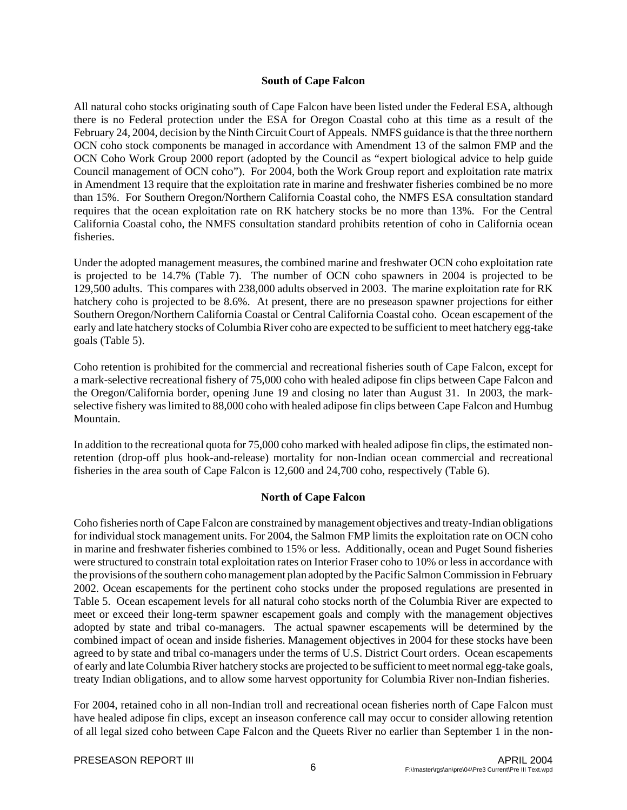### **South of Cape Falcon**

All natural coho stocks originating south of Cape Falcon have been listed under the Federal ESA, although there is no Federal protection under the ESA for Oregon Coastal coho at this time as a result of the February 24, 2004, decision by the Ninth Circuit Court of Appeals. NMFS guidance is that the three northern OCN coho stock components be managed in accordance with Amendment 13 of the salmon FMP and the OCN Coho Work Group 2000 report (adopted by the Council as "expert biological advice to help guide Council management of OCN coho"). For 2004, both the Work Group report and exploitation rate matrix in Amendment 13 require that the exploitation rate in marine and freshwater fisheries combined be no more than 15%. For Southern Oregon/Northern California Coastal coho, the NMFS ESA consultation standard requires that the ocean exploitation rate on RK hatchery stocks be no more than 13%. For the Central California Coastal coho, the NMFS consultation standard prohibits retention of coho in California ocean fisheries.

Under the adopted management measures, the combined marine and freshwater OCN coho exploitation rate is projected to be 14.7% (Table 7). The number of OCN coho spawners in 2004 is projected to be 129,500 adults. This compares with 238,000 adults observed in 2003. The marine exploitation rate for RK hatchery coho is projected to be 8.6%. At present, there are no preseason spawner projections for either Southern Oregon/Northern California Coastal or Central California Coastal coho. Ocean escapement of the early and late hatchery stocks of Columbia River coho are expected to be sufficient to meet hatchery egg-take goals (Table 5).

Coho retention is prohibited for the commercial and recreational fisheries south of Cape Falcon, except for a mark-selective recreational fishery of 75,000 coho with healed adipose fin clips between Cape Falcon and the Oregon/California border, opening June 19 and closing no later than August 31. In 2003, the markselective fishery was limited to 88,000 coho with healed adipose fin clips between Cape Falcon and Humbug Mountain.

In addition to the recreational quota for 75,000 coho marked with healed adipose fin clips, the estimated nonretention (drop-off plus hook-and-release) mortality for non-Indian ocean commercial and recreational fisheries in the area south of Cape Falcon is 12,600 and 24,700 coho, respectively (Table 6).

## **North of Cape Falcon**

Coho fisheries north of Cape Falcon are constrained by management objectives and treaty-Indian obligations for individual stock management units. For 2004, the Salmon FMP limits the exploitation rate on OCN coho in marine and freshwater fisheries combined to 15% or less. Additionally, ocean and Puget Sound fisheries were structured to constrain total exploitation rates on Interior Fraser coho to 10% or less in accordance with the provisions of the southern coho management plan adopted by the Pacific Salmon Commission in February 2002. Ocean escapements for the pertinent coho stocks under the proposed regulations are presented in Table 5. Ocean escapement levels for all natural coho stocks north of the Columbia River are expected to meet or exceed their long-term spawner escapement goals and comply with the management objectives adopted by state and tribal co-managers. The actual spawner escapements will be determined by the combined impact of ocean and inside fisheries. Management objectives in 2004 for these stocks have been agreed to by state and tribal co-managers under the terms of U.S. District Court orders. Ocean escapements of early and late Columbia River hatchery stocks are projected to be sufficient to meet normal egg-take goals, treaty Indian obligations, and to allow some harvest opportunity for Columbia River non-Indian fisheries.

For 2004, retained coho in all non-Indian troll and recreational ocean fisheries north of Cape Falcon must have healed adipose fin clips, except an inseason conference call may occur to consider allowing retention of all legal sized coho between Cape Falcon and the Queets River no earlier than September 1 in the non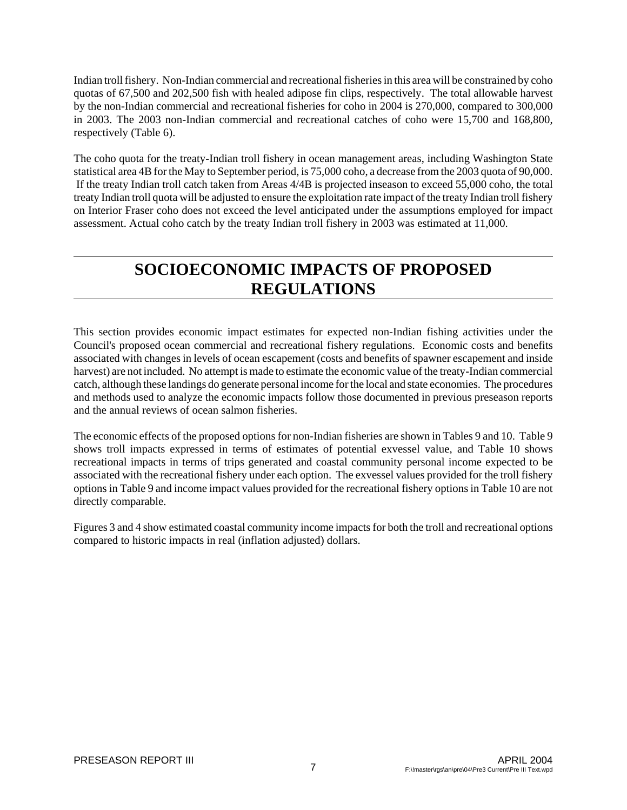Indian troll fishery. Non-Indian commercial and recreational fisheries in this area will be constrained by coho quotas of 67,500 and 202,500 fish with healed adipose fin clips, respectively. The total allowable harvest by the non-Indian commercial and recreational fisheries for coho in 2004 is 270,000, compared to 300,000 in 2003. The 2003 non-Indian commercial and recreational catches of coho were 15,700 and 168,800, respectively (Table 6).

The coho quota for the treaty-Indian troll fishery in ocean management areas, including Washington State statistical area 4B for the May to September period, is 75,000 coho, a decrease from the 2003 quota of 90,000. If the treaty Indian troll catch taken from Areas 4/4B is projected inseason to exceed 55,000 coho, the total treaty Indian troll quota will be adjusted to ensure the exploitation rate impact of the treaty Indian troll fishery on Interior Fraser coho does not exceed the level anticipated under the assumptions employed for impact assessment. Actual coho catch by the treaty Indian troll fishery in 2003 was estimated at 11,000.

## **SOCIOECONOMIC IMPACTS OF PROPOSED REGULATIONS**

This section provides economic impact estimates for expected non-Indian fishing activities under the Council's proposed ocean commercial and recreational fishery regulations. Economic costs and benefits associated with changes in levels of ocean escapement (costs and benefits of spawner escapement and inside harvest) are not included. No attempt is made to estimate the economic value of the treaty-Indian commercial catch, although these landings do generate personal income for the local and state economies. The procedures and methods used to analyze the economic impacts follow those documented in previous preseason reports and the annual reviews of ocean salmon fisheries.

The economic effects of the proposed options for non-Indian fisheries are shown in Tables 9 and 10. Table 9 shows troll impacts expressed in terms of estimates of potential exvessel value, and Table 10 shows recreational impacts in terms of trips generated and coastal community personal income expected to be associated with the recreational fishery under each option. The exvessel values provided for the troll fishery options in Table 9 and income impact values provided for the recreational fishery options in Table 10 are not directly comparable.

Figures 3 and 4 show estimated coastal community income impacts for both the troll and recreational options compared to historic impacts in real (inflation adjusted) dollars.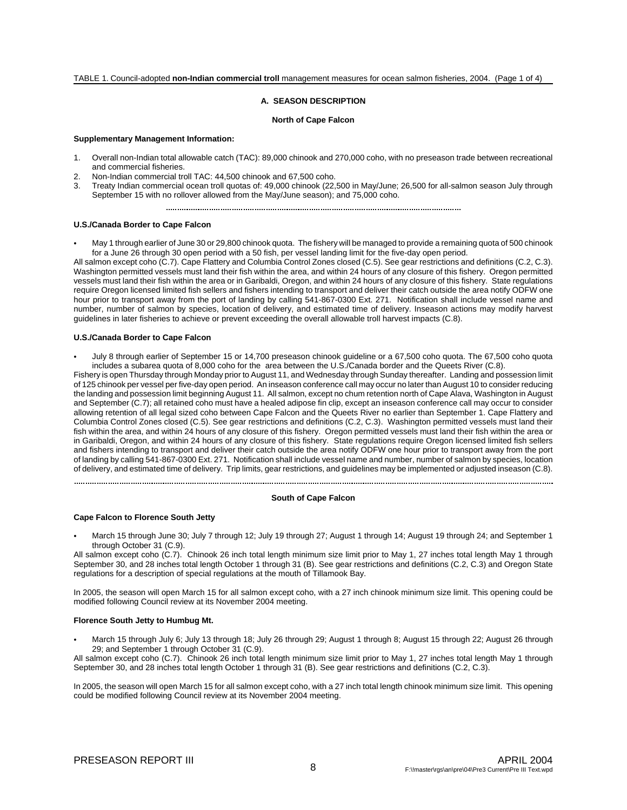#### TABLE 1. Council-adopted **non-Indian commercial troll** management measures for ocean salmon fisheries, 2004. (Page 1 of 4)

#### **A. SEASON DESCRIPTION**

#### **North of Cape Falcon**

#### **Supplementary Management Information:**

- 1. Overall non-Indian total allowable catch (TAC): 89,000 chinook and 270,000 coho, with no preseason trade between recreational and commercial fisheries.
- 2. Non-Indian commercial troll TAC: 44,500 chinook and 67,500 coho.
- 3. Treaty Indian commercial ocean troll quotas of: 49,000 chinook (22,500 in May/June; 26,500 for all-salmon season July through September 15 with no rollover allowed from the May/June season); and 75,000 coho.

#### **U.S./Canada Border to Cape Falcon**

May 1 through earlier of June 30 or 29,800 chinook quota. The fishery will be managed to provide a remaining quota of 500 chinook for a June 26 through 30 open period with a 50 fish, per vessel landing limit for the five-day open period.

All salmon except coho (C.7). Cape Flattery and Columbia Control Zones closed (C.5). See gear restrictions and definitions (C.2, C.3). Washington permitted vessels must land their fish within the area, and within 24 hours of any closure of this fishery. Oregon permitted vessels must land their fish within the area or in Garibaldi, Oregon, and within 24 hours of any closure of this fishery. State regulations require Oregon licensed limited fish sellers and fishers intending to transport and deliver their catch outside the area notify ODFW one hour prior to transport away from the port of landing by calling 541-867-0300 Ext. 271. Notification shall include vessel name and number, number of salmon by species, location of delivery, and estimated time of delivery. Inseason actions may modify harvest guidelines in later fisheries to achieve or prevent exceeding the overall allowable troll harvest impacts (C.8).

#### **U.S./Canada Border to Cape Falcon**

July 8 through earlier of September 15 or 14,700 preseason chinook guideline or a 67,500 coho quota. The 67,500 coho quota includes a subarea quota of 8,000 coho for the area between the U.S./Canada border and the Queets River (C.8).

Fishery is open Thursday through Monday prior to August 11, and Wednesday through Sunday thereafter. Landing and possession limit of 125 chinook per vessel per five-day open period. An inseason conference call may occur no later than August 10 to consider reducing the landing and possession limit beginning August 11. All salmon, except no chum retention north of Cape Alava, Washington in August and September (C.7); all retained coho must have a healed adipose fin clip, except an inseason conference call may occur to consider allowing retention of all legal sized coho between Cape Falcon and the Queets River no earlier than September 1. Cape Flattery and Columbia Control Zones closed (C.5). See gear restrictions and definitions (C.2, C.3). Washington permitted vessels must land their fish within the area, and within 24 hours of any closure of this fishery. Oregon permitted vessels must land their fish within the area or in Garibaldi, Oregon, and within 24 hours of any closure of this fishery. State regulations require Oregon licensed limited fish sellers and fishers intending to transport and deliver their catch outside the area notify ODFW one hour prior to transport away from the port of landing by calling 541-867-0300 Ext. 271. Notification shall include vessel name and number, number of salmon by species, location of delivery, and estimated time of delivery. Trip limits, gear restrictions, and guidelines may be implemented or adjusted inseason (C.8).

#### **South of Cape Falcon**

#### **Cape Falcon to Florence South Jetty**

March 15 through June 30; July 7 through 12; July 19 through 27; August 1 through 14; August 19 through 24; and September 1 through October 31 (C.9).

All salmon except coho (C.7). Chinook 26 inch total length minimum size limit prior to May 1, 27 inches total length May 1 through September 30, and 28 inches total length October 1 through 31 (B). See gear restrictions and definitions (C.2, C.3) and Oregon State regulations for a description of special regulations at the mouth of Tillamook Bay.

In 2005, the season will open March 15 for all salmon except coho, with a 27 inch chinook minimum size limit. This opening could be modified following Council review at its November 2004 meeting.

#### **Florence South Jetty to Humbug Mt.**

March 15 through July 6; July 13 through 18; July 26 through 29; August 1 through 8; August 15 through 22; August 26 through 29; and September 1 through October 31 (C.9).

All salmon except coho (C.7). Chinook 26 inch total length minimum size limit prior to May 1, 27 inches total length May 1 through September 30, and 28 inches total length October 1 through 31 (B). See gear restrictions and definitions (C.2, C.3).

In 2005, the season will open March 15 for all salmon except coho, with a 27 inch total length chinook minimum size limit. This opening could be modified following Council review at its November 2004 meeting.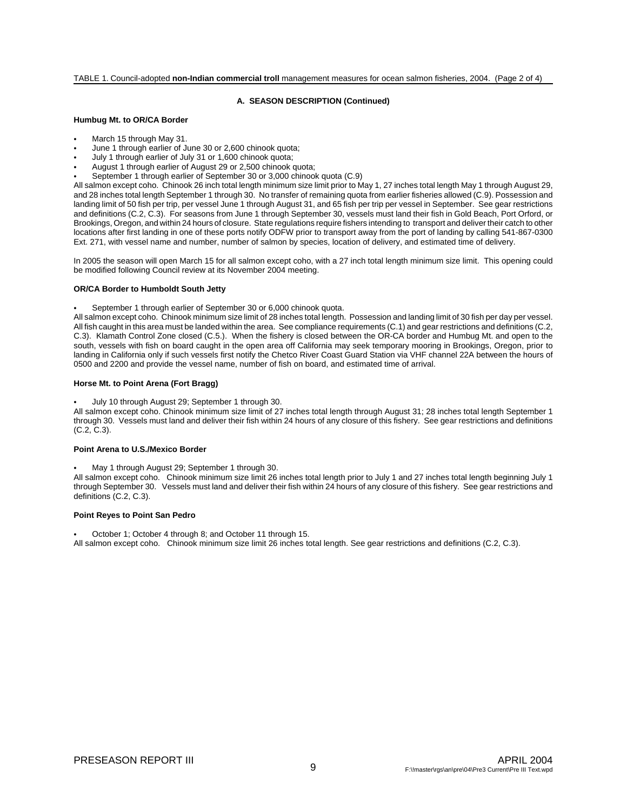#### TABLE 1. Council-adopted **non-Indian commercial troll** management measures for ocean salmon fisheries, 2004. (Page 2 of 4)

#### **A. SEASON DESCRIPTION (Continued)**

#### **Humbug Mt. to OR/CA Border**

- March 15 through May 31.
- June 1 through earlier of June 30 or 2,600 chinook quota;
- July 1 through earlier of July 31 or 1,600 chinook quota;
- August 1 through earlier of August 29 or 2,500 chinook quota;
- September 1 through earlier of September 30 or 3,000 chinook quota (C.9)

All salmon except coho. Chinook 26 inch total length minimum size limit prior to May 1, 27 inches total length May 1 through August 29, and 28 inches total length September 1 through 30. No transfer of remaining quota from earlier fisheries allowed (C.9). Possession and landing limit of 50 fish per trip, per vessel June 1 through August 31, and 65 fish per trip per vessel in September. See gear restrictions and definitions (C.2, C.3). For seasons from June 1 through September 30, vessels must land their fish in Gold Beach, Port Orford, or Brookings, Oregon, and within 24 hours of closure. State regulations require fishers intending to transport and deliver their catch to other locations after first landing in one of these ports notify ODFW prior to transport away from the port of landing by calling 541-867-0300 Ext. 271, with vessel name and number, number of salmon by species, location of delivery, and estimated time of delivery.

In 2005 the season will open March 15 for all salmon except coho, with a 27 inch total length minimum size limit. This opening could be modified following Council review at its November 2004 meeting.

#### **OR/CA Border to Humboldt South Jetty**

September 1 through earlier of September 30 or 6,000 chinook quota.

All salmon except coho. Chinook minimum size limit of 28 inches total length. Possession and landing limit of 30 fish per day per vessel. All fish caught in this area must be landed within the area. See compliance requirements (C.1) and gear restrictions and definitions (C.2, C.3). Klamath Control Zone closed (C.5.). When the fishery is closed between the OR-CA border and Humbug Mt. and open to the south, vessels with fish on board caught in the open area off California may seek temporary mooring in Brookings, Oregon, prior to landing in California only if such vessels first notify the Chetco River Coast Guard Station via VHF channel 22A between the hours of 0500 and 2200 and provide the vessel name, number of fish on board, and estimated time of arrival.

#### **Horse Mt. to Point Arena (Fort Bragg)**

July 10 through August 29; September 1 through 30.

All salmon except coho. Chinook minimum size limit of 27 inches total length through August 31; 28 inches total length September 1 through 30. Vessels must land and deliver their fish within 24 hours of any closure of this fishery. See gear restrictions and definitions (C.2, C.3).

#### **Point Arena to U.S./Mexico Border**

May 1 through August 29; September 1 through 30.

All salmon except coho. Chinook minimum size limit 26 inches total length prior to July 1 and 27 inches total length beginning July 1 through September 30. Vessels must land and deliver their fish within 24 hours of any closure of this fishery. See gear restrictions and definitions (C.2, C.3).

#### **Point Reyes to Point San Pedro**

October 1; October 4 through 8; and October 11 through 15.

All salmon except coho. Chinook minimum size limit 26 inches total length. See gear restrictions and definitions (C.2, C.3).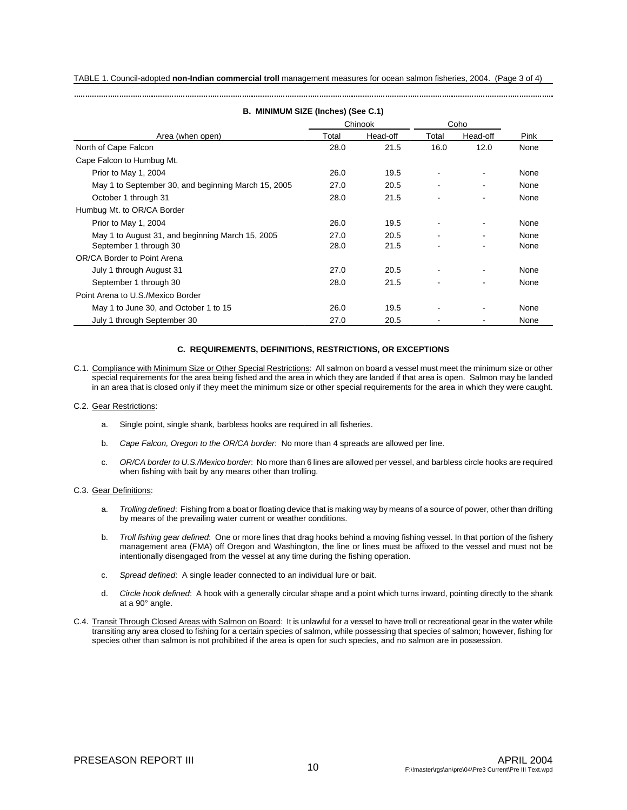TABLE 1. Council-adopted **non-Indian commercial troll** management measures for ocean salmon fisheries, 2004. (Page 3 of 4)

| B. MINIMUM SIZE (Inches) (See C.1)                  |                 |          |                              |                          |      |  |
|-----------------------------------------------------|-----------------|----------|------------------------------|--------------------------|------|--|
|                                                     | Chinook<br>Coho |          |                              |                          |      |  |
| Area (when open)                                    | Total           | Head-off | Total                        | Head-off                 | Pink |  |
| North of Cape Falcon                                | 28.0            | 21.5     | 16.0                         | 12.0                     | None |  |
| Cape Falcon to Humbug Mt.                           |                 |          |                              |                          |      |  |
| Prior to May 1, 2004                                | 26.0            | 19.5     |                              |                          | None |  |
| May 1 to September 30, and beginning March 15, 2005 | 27.0            | 20.5     |                              | ۰.                       | None |  |
| October 1 through 31                                | 28.0            | 21.5     |                              |                          | None |  |
| Humbug Mt. to OR/CA Border                          |                 |          |                              |                          |      |  |
| Prior to May 1, 2004                                | 26.0            | 19.5     |                              |                          | None |  |
| May 1 to August 31, and beginning March 15, 2005    | 27.0            | 20.5     |                              |                          | None |  |
| September 1 through 30                              | 28.0            | 21.5     |                              | $\overline{\phantom{0}}$ | None |  |
| OR/CA Border to Point Arena                         |                 |          |                              |                          |      |  |
| July 1 through August 31                            | 27.0            | 20.5     | $\qquad \qquad \blacksquare$ | -                        | None |  |
| September 1 through 30                              | 28.0            | 21.5     |                              | ٠                        | None |  |
| Point Arena to U.S./Mexico Border                   |                 |          |                              |                          |      |  |
| May 1 to June 30, and October 1 to 15               | 26.0            | 19.5     |                              |                          | None |  |
| July 1 through September 30                         | 27.0            | 20.5     |                              |                          | None |  |

#### **C. REQUIREMENTS, DEFINITIONS, RESTRICTIONS, OR EXCEPTIONS**

C.1. Compliance with Minimum Size or Other Special Restrictions: All salmon on board a vessel must meet the minimum size or other special requirements for the area being fished and the area in which they are landed if that area is open. Salmon may be landed in an area that is closed only if they meet the minimum size or other special requirements for the area in which they were caught.

#### C.2. Gear Restrictions:

- a. Single point, single shank, barbless hooks are required in all fisheries.
- b. *Cape Falcon, Oregon to the OR/CA border*: No more than 4 spreads are allowed per line.
- c. *OR/CA border to U.S./Mexico border*: No more than 6 lines are allowed per vessel, and barbless circle hooks are required when fishing with bait by any means other than trolling.

#### C.3. Gear Definitions:

- a. *Trolling defined*: Fishing from a boat or floating device that is making way by means of a source of power, other than drifting by means of the prevailing water current or weather conditions.
- b. *Troll fishing gear defined*: One or more lines that drag hooks behind a moving fishing vessel. In that portion of the fishery management area (FMA) off Oregon and Washington, the line or lines must be affixed to the vessel and must not be intentionally disengaged from the vessel at any time during the fishing operation.
- c. *Spread defined*: A single leader connected to an individual lure or bait.
- d. *Circle hook defined*: A hook with a generally circular shape and a point which turns inward, pointing directly to the shank at a 90° angle.
- C.4. Transit Through Closed Areas with Salmon on Board: It is unlawful for a vessel to have troll or recreational gear in the water while transiting any area closed to fishing for a certain species of salmon, while possessing that species of salmon; however, fishing for species other than salmon is not prohibited if the area is open for such species, and no salmon are in possession.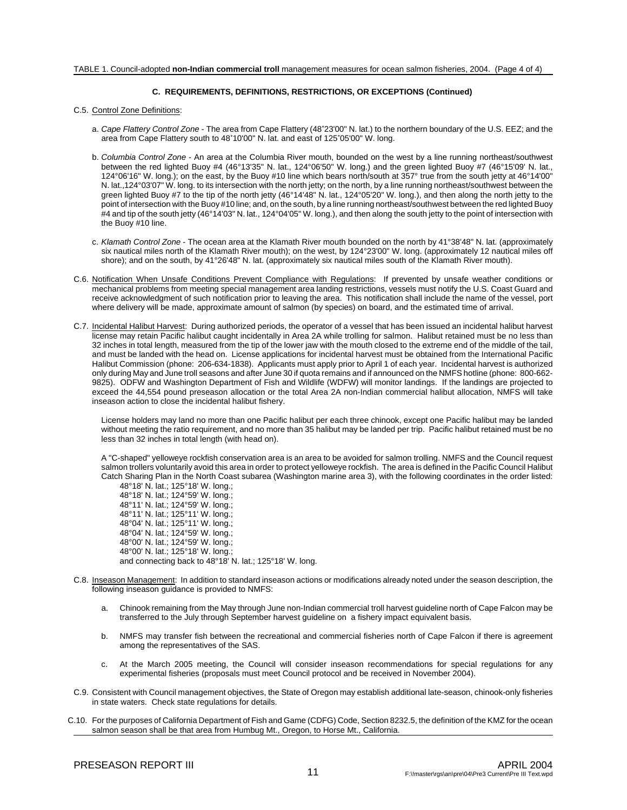#### **C. REQUIREMENTS, DEFINITIONS, RESTRICTIONS, OR EXCEPTIONS (Continued)**

#### C.5. Control Zone Definitions:

- a. *Cape Flattery Control Zone* The area from Cape Flattery (48°23'00" N. lat.) to the northern boundary of the U.S. EEZ; and the area from Cape Flattery south to 48°10'00" N. lat. and east of 125°05'00" W. long.
- b. *Columbia Control Zone* An area at the Columbia River mouth, bounded on the west by a line running northeast/southwest between the red lighted Buoy #4 (46°13'35" N. lat., 124°06'50" W. long.) and the green lighted Buoy #7 (46°15'09' N. lat., 124°06'16" W. long.); on the east, by the Buoy #10 line which bears north/south at 357° true from the south jetty at 46°14'00" N. lat.,124°03'07" W. long. to its intersection with the north jetty; on the north, by a line running northeast/southwest between the green lighted Buoy #7 to the tip of the north jetty (46°14'48" N. lat., 124°05'20" W. long.), and then along the north jetty to the point of intersection with the Buoy #10 line; and, on the south, by a line running northeast/southwest between the red lighted Buoy #4 and tip of the south jetty (46°14'03" N. lat., 124°04'05" W. long.), and then along the south jetty to the point of intersection with the Buoy #10 line.
- c. *Klamath Control Zone* The ocean area at the Klamath River mouth bounded on the north by 41°38'48" N. lat. (approximately six nautical miles north of the Klamath River mouth); on the west, by 124°23'00" W. long. (approximately 12 nautical miles off shore); and on the south, by 41°26'48" N. lat. (approximately six nautical miles south of the Klamath River mouth).
- C.6. Notification When Unsafe Conditions Prevent Compliance with Regulations: If prevented by unsafe weather conditions or mechanical problems from meeting special management area landing restrictions, vessels must notify the U.S. Coast Guard and receive acknowledgment of such notification prior to leaving the area. This notification shall include the name of the vessel, port where delivery will be made, approximate amount of salmon (by species) on board, and the estimated time of arrival.
- C.7. Incidental Halibut Harvest: During authorized periods, the operator of a vessel that has been issued an incidental halibut harvest license may retain Pacific halibut caught incidentally in Area 2A while trolling for salmon. Halibut retained must be no less than 32 inches in total length, measured from the tip of the lower jaw with the mouth closed to the extreme end of the middle of the tail, and must be landed with the head on. License applications for incidental harvest must be obtained from the International Pacific Halibut Commission (phone: 206-634-1838). Applicants must apply prior to April 1 of each year. Incidental harvest is authorized only during May and June troll seasons and after June 30 if quota remains and if announced on the NMFS hotline (phone: 800-662- 9825). ODFW and Washington Department of Fish and Wildlife (WDFW) will monitor landings. If the landings are projected to exceed the 44,554 pound preseason allocation or the total Area 2A non-Indian commercial halibut allocation, NMFS will take inseason action to close the incidental halibut fishery.

License holders may land no more than one Pacific halibut per each three chinook, except one Pacific halibut may be landed without meeting the ratio requirement, and no more than 35 halibut may be landed per trip. Pacific halibut retained must be no less than 32 inches in total length (with head on).

A "C-shaped" yelloweye rockfish conservation area is an area to be avoided for salmon trolling. NMFS and the Council request salmon trollers voluntarily avoid this area in order to protect yelloweye rockfish. The area is defined in the Pacific Council Halibut Catch Sharing Plan in the North Coast subarea (Washington marine area 3), with the following coordinates in the order listed:

48°18' N. lat.; 125°18' W. long.; 48°18' N. lat.; 124°59' W. long.; 48°11' N. lat.; 124°59' W. long.; 48°11' N. lat.; 125°11' W. long.; 48°04' N. lat.; 125°11' W. long.; 48°04' N. lat.; 124°59' W. long.; 48°00' N. lat.; 124°59' W. long.; 48°00' N. lat.; 125°18' W. long.; and connecting back to 48°18' N. lat.; 125°18' W. long.

- C.8. Inseason Management: In addition to standard inseason actions or modifications already noted under the season description, the following inseason guidance is provided to NMFS:
	- a. Chinook remaining from the May through June non-Indian commercial troll harvest guideline north of Cape Falcon may be transferred to the July through September harvest guideline on a fishery impact equivalent basis.
	- b. NMFS may transfer fish between the recreational and commercial fisheries north of Cape Falcon if there is agreement among the representatives of the SAS.
	- c. At the March 2005 meeting, the Council will consider inseason recommendations for special regulations for any experimental fisheries (proposals must meet Council protocol and be received in November 2004).
- C.9. Consistent with Council management objectives, the State of Oregon may establish additional late-season, chinook-only fisheries in state waters. Check state regulations for details.
- C.10. For the purposes of California Department of Fish and Game (CDFG) Code, Section 8232.5, the definition of the KMZ for the ocean salmon season shall be that area from Humbug Mt., Oregon, to Horse Mt., California.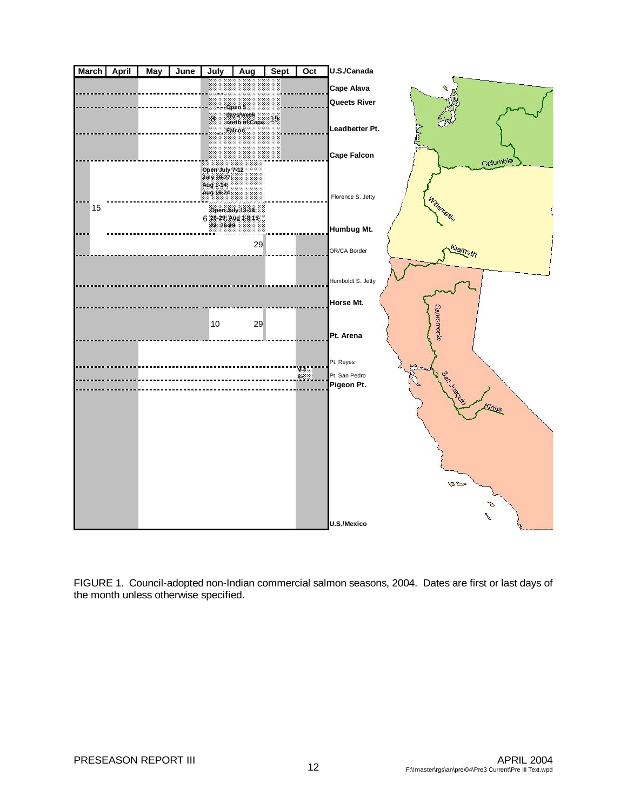

FIGURE 1. Council-adopted non-Indian commercial salmon seasons, 2004. Dates are first or last days of the month unless otherwise specified.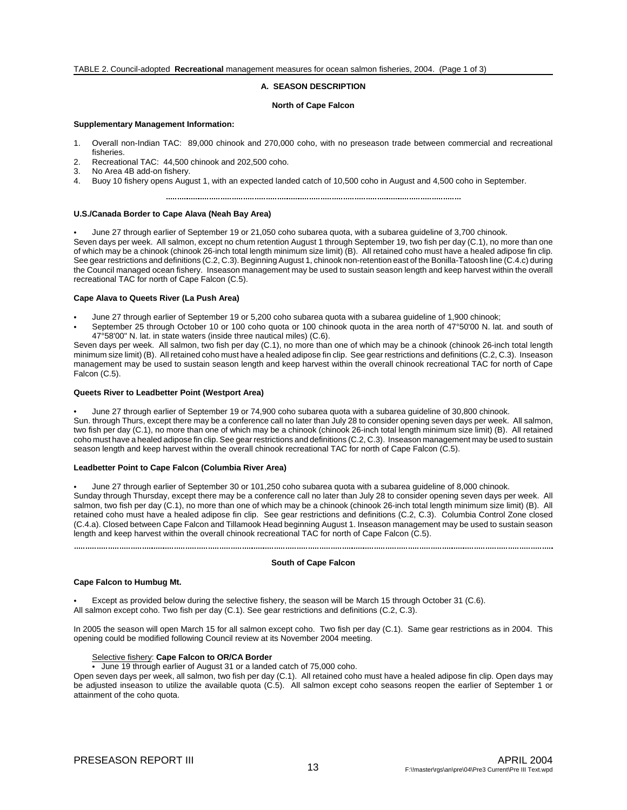#### **A. SEASON DESCRIPTION**

#### **North of Cape Falcon**

#### **Supplementary Management Information:**

- 1. Overall non-Indian TAC: 89,000 chinook and 270,000 coho, with no preseason trade between commercial and recreational fisheries.
- 2. Recreational TAC: 44,500 chinook and 202,500 coho.
- 3. No Area 4B add-on fishery.
- 4. Buoy 10 fishery opens August 1, with an expected landed catch of 10,500 coho in August and 4,500 coho in September.

#### 

#### **U.S./Canada Border to Cape Alava (Neah Bay Area)**

June 27 through earlier of September 19 or 21,050 coho subarea quota, with a subarea guideline of 3,700 chinook. Seven days per week. All salmon, except no chum retention August 1 through September 19, two fish per day (C.1), no more than one of which may be a chinook (chinook 26-inch total length minimum size limit) (B). All retained coho must have a healed adipose fin clip. See gear restrictions and definitions (C.2, C.3). Beginning August 1, chinook non-retention east of the Bonilla-Tatoosh line (C.4.c) during the Council managed ocean fishery. Inseason management may be used to sustain season length and keep harvest within the overall

## recreational TAC for north of Cape Falcon (C.5). **Cape Alava to Queets River (La Push Area)**

- June 27 through earlier of September 19 or 5,200 coho subarea quota with a subarea quideline of 1,900 chinook;
- September 25 through October 10 or 100 coho quota or 100 chinook quota in the area north of 47°50'00 N. lat. and south of 47°58'00" N. lat. in state waters (inside three nautical miles) (C.6).

Seven days per week. All salmon, two fish per day (C.1), no more than one of which may be a chinook (chinook 26-inch total length minimum size limit) (B). All retained coho must have a healed adipose fin clip. See gear restrictions and definitions (C.2, C.3). Inseason management may be used to sustain season length and keep harvest within the overall chinook recreational TAC for north of Cape Falcon (C.5).

#### **Queets River to Leadbetter Point (Westport Area)**

• June 27 through earlier of September 19 or 74,900 coho subarea quota with a subarea guideline of 30,800 chinook. Sun. through Thurs, except there may be a conference call no later than July 28 to consider opening seven days per week. All salmon, two fish per day (C.1), no more than one of which may be a chinook (chinook 26-inch total length minimum size limit) (B). All retained coho must have a healed adipose fin clip. See gear restrictions and definitions (C.2, C.3). Inseason management may be used to sustain season length and keep harvest within the overall chinook recreational TAC for north of Cape Falcon (C.5).

#### **Leadbetter Point to Cape Falcon (Columbia River Area)**

June 27 through earlier of September 30 or 101,250 coho subarea quota with a subarea guideline of 8,000 chinook. Sunday through Thursday, except there may be a conference call no later than July 28 to consider opening seven days per week. All salmon, two fish per day (C.1), no more than one of which may be a chinook (chinook 26-inch total length minimum size limit) (B). All retained coho must have a healed adipose fin clip. See gear restrictions and definitions (C.2, C.3). Columbia Control Zone closed (C.4.a). Closed between Cape Falcon and Tillamook Head beginning August 1. Inseason management may be used to sustain season length and keep harvest within the overall chinook recreational TAC for north of Cape Falcon (C.5).

### **South of Cape Falcon**

#### **Cape Falcon to Humbug Mt.**

Except as provided below during the selective fishery, the season will be March 15 through October 31 (C.6). All salmon except coho. Two fish per day (C.1). See gear restrictions and definitions (C.2, C.3).

In 2005 the season will open March 15 for all salmon except coho. Two fish per day (C.1). Same gear restrictions as in 2004. This opening could be modified following Council review at its November 2004 meeting.

#### Selective fishery: **Cape Falcon to OR/CA Border**

• June 19 through earlier of August 31 or a landed catch of 75,000 coho.

Open seven days per week, all salmon, two fish per day (C.1). All retained coho must have a healed adipose fin clip. Open days may be adjusted inseason to utilize the available quota (C.5). All salmon except coho seasons reopen the earlier of September 1 or attainment of the coho quota.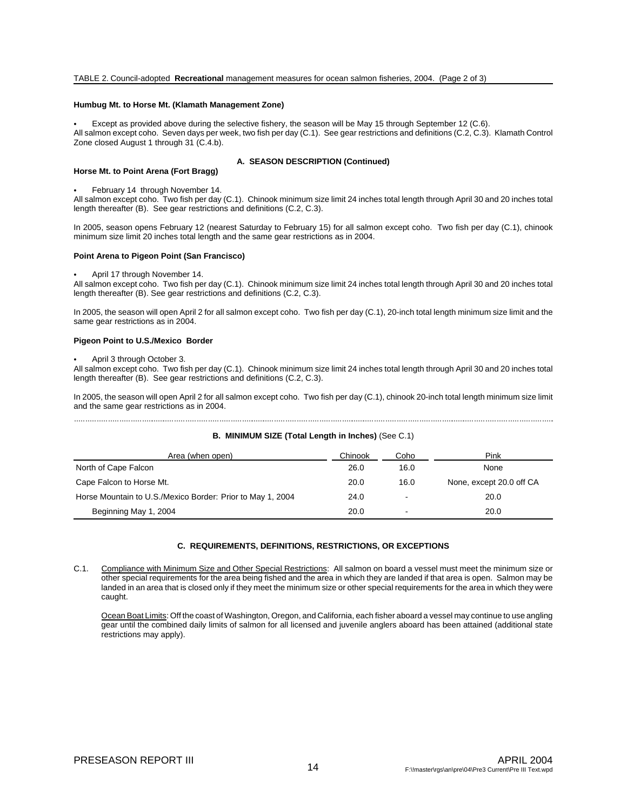#### TABLE 2. Council-adopted **Recreational** management measures for ocean salmon fisheries, 2004. (Page 2 of 3)

#### **Humbug Mt. to Horse Mt. (Klamath Management Zone)**

Except as provided above during the selective fishery, the season will be May 15 through September 12 (C.6). All salmon except coho. Seven days per week, two fish per day (C.1). See gear restrictions and definitions (C.2, C.3). Klamath Control Zone closed August 1 through 31 (C.4.b).

#### **A. SEASON DESCRIPTION (Continued) Horse Mt. to Point Arena (Fort Bragg)**

## February 14 through November 14.

All salmon except coho. Two fish per day (C.1). Chinook minimum size limit 24 inches total length through April 30 and 20 inches total length thereafter (B). See gear restrictions and definitions (C.2, C.3).

In 2005, season opens February 12 (nearest Saturday to February 15) for all salmon except coho. Two fish per day (C.1), chinook minimum size limit 20 inches total length and the same gear restrictions as in 2004.

#### **Point Arena to Pigeon Point (San Francisco)**

April 17 through November 14.

All salmon except coho. Two fish per day (C.1). Chinook minimum size limit 24 inches total length through April 30 and 20 inches total length thereafter (B). See gear restrictions and definitions (C.2, C.3).

In 2005, the season will open April 2 for all salmon except coho. Two fish per day (C.1), 20-inch total length minimum size limit and the same gear restrictions as in 2004.

#### **Pigeon Point to U.S./Mexico Border**

#### April 3 through October 3.

All salmon except coho. Two fish per day (C.1). Chinook minimum size limit 24 inches total length through April 30 and 20 inches total length thereafter (B). See gear restrictions and definitions (C.2, C.3).

In 2005, the season will open April 2 for all salmon except coho. Two fish per day (C.1), chinook 20-inch total length minimum size limit and the same gear restrictions as in 2004.

#### **B. MINIMUM SIZE (Total Length in Inches)** (See C.1)

| Area (when open)                                           | Chinook | Coho | Pink                     |
|------------------------------------------------------------|---------|------|--------------------------|
| North of Cape Falcon                                       | 26.0    | 16.0 | None                     |
| Cape Falcon to Horse Mt.                                   | 20.0    | 16.0 | None, except 20.0 off CA |
| Horse Mountain to U.S./Mexico Border: Prior to May 1, 2004 | 24.0    | $\,$ | 20.0                     |
| Beginning May 1, 2004                                      | 20.0    | ۰    | 20.0                     |

#### **C. REQUIREMENTS, DEFINITIONS, RESTRICTIONS, OR EXCEPTIONS**

C.1. Compliance with Minimum Size and Other Special Restrictions: All salmon on board a vessel must meet the minimum size or other special requirements for the area being fished and the area in which they are landed if that area is open. Salmon may be landed in an area that is closed only if they meet the minimum size or other special requirements for the area in which they were caught.

Ocean Boat Limits: Off the coast of Washington, Oregon, and California, each fisher aboard a vessel may continue to use angling gear until the combined daily limits of salmon for all licensed and juvenile anglers aboard has been attained (additional state restrictions may apply).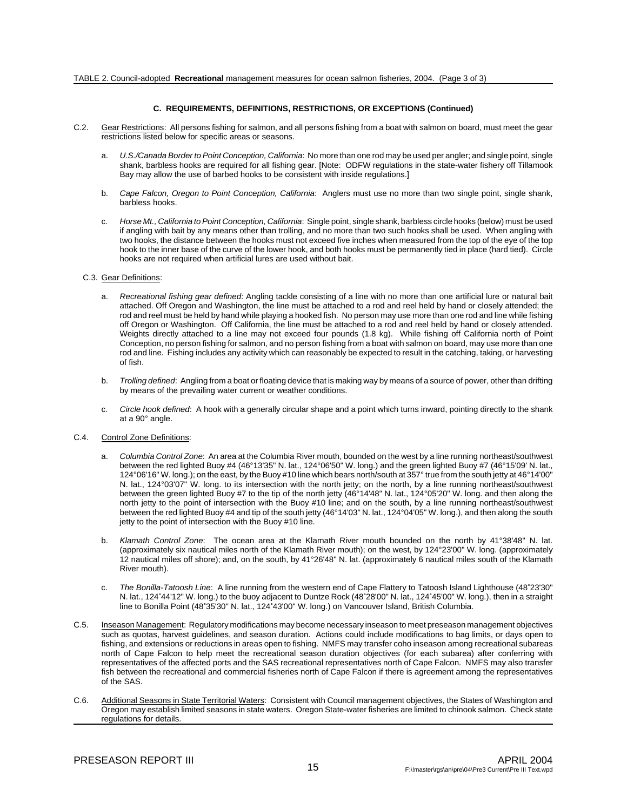#### TABLE 2. Council-adopted **Recreational** management measures for ocean salmon fisheries, 2004. (Page 3 of 3)

#### **C. REQUIREMENTS, DEFINITIONS, RESTRICTIONS, OR EXCEPTIONS (Continued)**

- C.2. Gear Restrictions: All persons fishing for salmon, and all persons fishing from a boat with salmon on board, must meet the gear restrictions listed below for specific areas or seasons.
	- a. *U.S./Canada Border to Point Conception, California*: No more than one rod may be used per angler; and single point, single shank, barbless hooks are required for all fishing gear. [Note: ODFW regulations in the state-water fishery off Tillamook Bay may allow the use of barbed hooks to be consistent with inside regulations.]
	- b. *Cape Falcon, Oregon to Point Conception, California*: Anglers must use no more than two single point, single shank, barbless hooks.
	- c. *Horse Mt., California to Point Conception, California*: Single point, single shank, barbless circle hooks (below) must be used if angling with bait by any means other than trolling, and no more than two such hooks shall be used. When angling with two hooks, the distance between the hooks must not exceed five inches when measured from the top of the eye of the top hook to the inner base of the curve of the lower hook, and both hooks must be permanently tied in place (hard tied). Circle hooks are not required when artificial lures are used without bait.

#### C.3. Gear Definitions:

- a. *Recreational fishing gear defined*: Angling tackle consisting of a line with no more than one artificial lure or natural bait attached. Off Oregon and Washington, the line must be attached to a rod and reel held by hand or closely attended; the rod and reel must be held by hand while playing a hooked fish. No person may use more than one rod and line while fishing off Oregon or Washington. Off California, the line must be attached to a rod and reel held by hand or closely attended. Weights directly attached to a line may not exceed four pounds (1.8 kg). While fishing off California north of Point Conception, no person fishing for salmon, and no person fishing from a boat with salmon on board, may use more than one rod and line. Fishing includes any activity which can reasonably be expected to result in the catching, taking, or harvesting of fish.
- b. *Trolling defined*: Angling from a boat or floating device that is making way by means of a source of power, other than drifting by means of the prevailing water current or weather conditions.
- c. *Circle hook defined*: A hook with a generally circular shape and a point which turns inward, pointing directly to the shank at a 90° angle.

#### C.4. Control Zone Definitions:

- a. *Columbia Control Zone*: An area at the Columbia River mouth, bounded on the west by a line running northeast/southwest between the red lighted Buoy #4 (46°13'35" N. lat., 124°06'50" W. long.) and the green lighted Buoy #7 (46°15'09' N. lat., 124°06'16" W. long.); on the east, by the Buoy #10 line which bears north/south at 357° true from the south jetty at 46°14'00" N. lat., 124°03'07" W. long. to its intersection with the north jetty; on the north, by a line running northeast/southwest between the green lighted Buoy #7 to the tip of the north jetty (46°14'48" N. lat., 124°05'20" W. long. and then along the north jetty to the point of intersection with the Buoy #10 line; and on the south, by a line running northeast/southwest between the red lighted Buoy #4 and tip of the south jetty (46°14'03" N. lat., 124°04'05" W. long.), and then along the south jetty to the point of intersection with the Buoy #10 line.
- b. *Klamath Control Zone*: The ocean area at the Klamath River mouth bounded on the north by 41°38'48" N. lat. (approximately six nautical miles north of the Klamath River mouth); on the west, by 124°23'00" W. long. (approximately 12 nautical miles off shore); and, on the south, by 41°26'48" N. lat. (approximately 6 nautical miles south of the Klamath River mouth).
- c. *The Bonilla-Tatoosh Line*: A line running from the western end of Cape Flattery to Tatoosh Island Lighthouse (48/23'30" N. lat., 124°44'12" W. long.) to the buoy adjacent to Duntze Rock (48°28'00" N. lat., 124°45'00" W. long.), then in a straight line to Bonilla Point (48°35'30" N. lat., 124°43'00" W. long.) on Vancouver Island, British Columbia.
- C.5. Inseason Management: Regulatory modifications may become necessary inseason to meet preseason management objectives such as quotas, harvest guidelines, and season duration. Actions could include modifications to bag limits, or days open to fishing, and extensions or reductions in areas open to fishing. NMFS may transfer coho inseason among recreational subareas north of Cape Falcon to help meet the recreational season duration objectives (for each subarea) after conferring with representatives of the affected ports and the SAS recreational representatives north of Cape Falcon. NMFS may also transfer fish between the recreational and commercial fisheries north of Cape Falcon if there is agreement among the representatives of the SAS.
- C.6. Additional Seasons in State Territorial Waters: Consistent with Council management objectives, the States of Washington and Oregon may establish limited seasons in state waters. Oregon State-water fisheries are limited to chinook salmon. Check state regulations for details.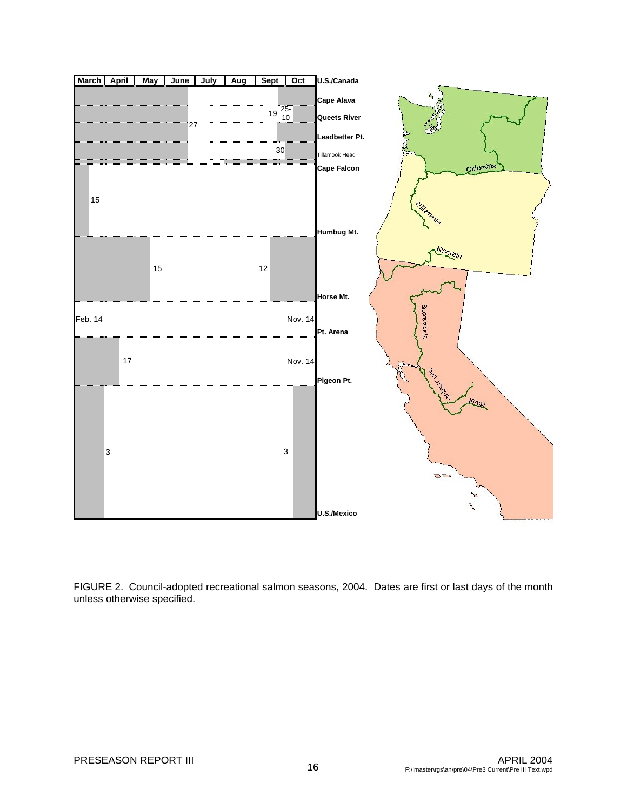

FIGURE 2. Council-adopted recreational salmon seasons, 2004. Dates are first or last days of the month unless otherwise specified.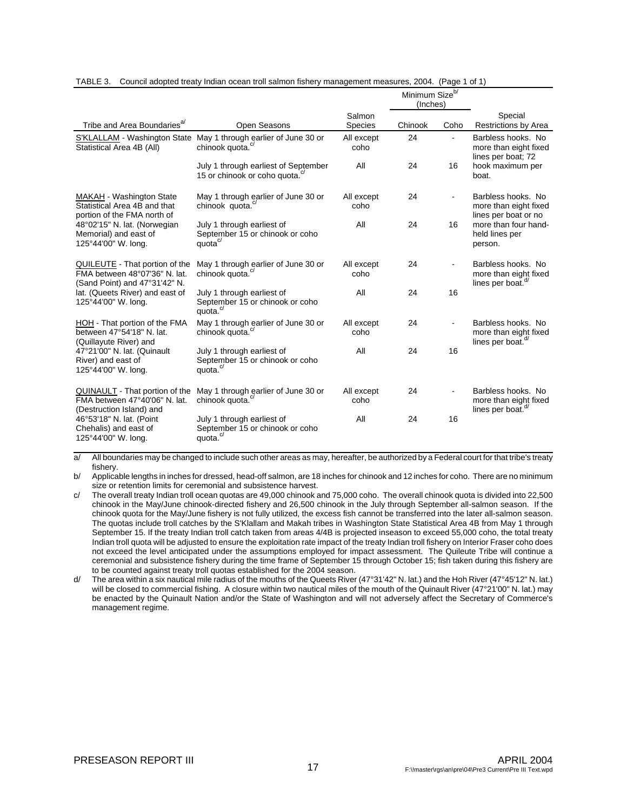|                                                                                                  |                                                                                                  |                          | Minimum Sizeb/<br>(Inches) |                |                                                                              |
|--------------------------------------------------------------------------------------------------|--------------------------------------------------------------------------------------------------|--------------------------|----------------------------|----------------|------------------------------------------------------------------------------|
| Tribe and Area Boundaries <sup>a/</sup>                                                          | Open Seasons                                                                                     | Salmon<br><b>Species</b> | Chinook                    | Coho           | Special<br>Restrictions by Area                                              |
| Statistical Area 4B (All)                                                                        | S'KLALLAM - Washington State May 1 through earlier of June 30 or<br>chinook quota. <sup>c/</sup> | All except<br>coho       | 24                         | $\blacksquare$ | Barbless hooks. No<br>more than eight fixed<br>lines per boat; 72            |
|                                                                                                  | July 1 through earliest of September<br>15 or chinook or coho quota. <sup>6</sup>                | All                      | 24                         | 16             | hook maximum per<br>boat.                                                    |
| MAKAH - Washington State<br>Statistical Area 4B and that<br>portion of the FMA north of          | May 1 through earlier of June 30 or<br>chinook quota. <sup>c</sup>                               | All except<br>coho       | 24                         |                | Barbless hooks. No<br>more than eight fixed<br>lines per boat or no          |
| 48°02'15" N. lat. (Norwegian<br>Memorial) and east of<br>125°44'00" W. long.                     | July 1 through earliest of<br>September 15 or chinook or coho<br>quota <sup>c/</sup>             | All                      | 24                         | 16             | more than four hand-<br>held lines per<br>person.                            |
| QUILEUTE - That portion of the<br>FMA between 48°07'36" N. lat.<br>(Sand Point) and 47°31'42" N. | May 1 through earlier of June 30 or<br>chinook quota. <sup>c.</sup>                              | All except<br>coho       | 24                         |                | Barbless hooks. No<br>more than eight fixed<br>lines per boat. <sup>d/</sup> |
| lat. (Queets River) and east of<br>125°44'00" W. long.                                           | July 1 through earliest of<br>September 15 or chinook or coho<br>quota. <sup>c/</sup>            | All                      | 24                         | 16             |                                                                              |
| HOH - That portion of the FMA<br>between 47°54'18" N. lat.<br>(Quillayute River) and             | May 1 through earlier of June 30 or<br>chinook quota. <sup>c</sup>                               | All except<br>coho       | 24                         | $\blacksquare$ | Barbless hooks. No<br>more than eight fixed<br>lines per boat. <sup>d/</sup> |
| 47°21'00" N. lat. (Quinault<br>River) and east of<br>125°44'00" W. long.                         | July 1 through earliest of<br>September 15 or chinook or coho<br>quota. <sup>c/</sup>            | All                      | 24                         | 16             |                                                                              |
| QUINAULT - That portion of the<br>FMA between 47°40'06" N. lat.<br>(Destruction Island) and      | May 1 through earlier of June 30 or<br>chinook quota.                                            | All except<br>coho       | 24                         |                | Barbless hooks. No<br>more than eight fixed<br>lines per boat. <sup>d/</sup> |
| 46°53'18" N. lat. (Point<br>Chehalis) and east of<br>125°44'00" W. long.                         | July 1 through earliest of<br>September 15 or chinook or coho<br>quota. <sup>c/</sup>            | All                      | 24                         | 16             |                                                                              |

#### TABLE 3. Council adopted treaty Indian ocean troll salmon fishery management measures, 2004. (Page 1 of 1)

a/ All boundaries may be changed to include such other areas as may, hereafter, be authorized by a Federal court for that tribe's treaty fishery.

b/ Applicable lengths in inches for dressed, head-off salmon, are 18 inches for chinook and 12 inches for coho. There are no minimum size or retention limits for ceremonial and subsistence harvest.

c/ The overall treaty Indian troll ocean quotas are 49,000 chinook and 75,000 coho. The overall chinook quota is divided into 22,500 chinook in the May/June chinook-directed fishery and 26,500 chinook in the July through September all-salmon season. If the chinook quota for the May/June fishery is not fully utilized, the excess fish cannot be transferred into the later all-salmon season. The quotas include troll catches by the S'Klallam and Makah tribes in Washington State Statistical Area 4B from May 1 through September 15. If the treaty Indian troll catch taken from areas 4/4B is projected inseason to exceed 55,000 coho, the total treaty Indian troll quota will be adjusted to ensure the exploitation rate impact of the treaty Indian troll fishery on Interior Fraser coho does not exceed the level anticipated under the assumptions employed for impact assessment. The Quileute Tribe will continue a ceremonial and subsistence fishery during the time frame of September 15 through October 15; fish taken during this fishery are to be counted against treaty troll quotas established for the 2004 season.

d/ The area within a six nautical mile radius of the mouths of the Queets River (47°31'42" N. lat.) and the Hoh River (47°45'12" N. lat.) will be closed to commercial fishing. A closure within two nautical miles of the mouth of the Quinault River (47°21'00" N. lat.) may be enacted by the Quinault Nation and/or the State of Washington and will not adversely affect the Secretary of Commerce's management regime.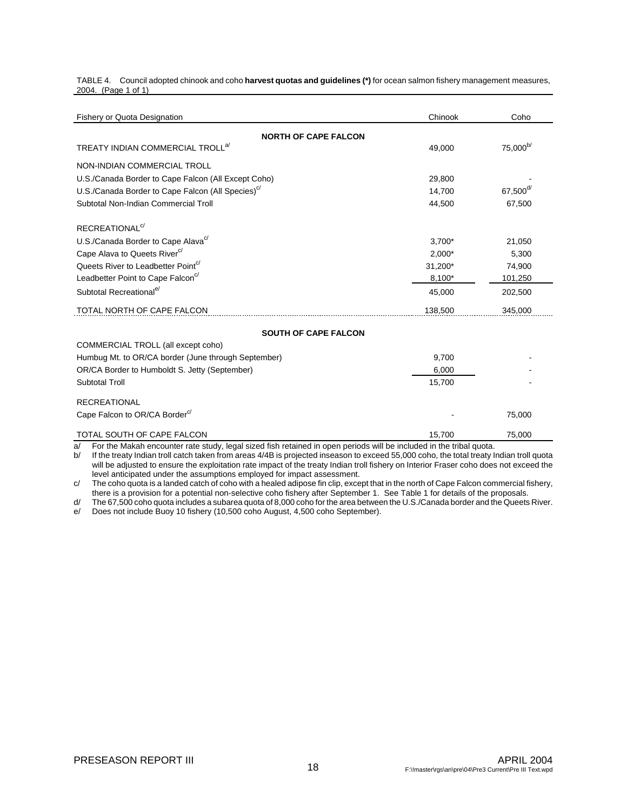#### TABLE 4. Council adopted chinook and coho **harvest quotas and guidelines (\*)** for ocean salmon fishery management measures, 2004. (Page 1 of 1)

| Fishery or Quota Designation                                  | Chinook  | Coho                 |
|---------------------------------------------------------------|----------|----------------------|
| <b>NORTH OF CAPE FALCON</b>                                   |          |                      |
| TREATY INDIAN COMMERCIAL TROLL <sup>a/</sup>                  | 49,000   | 75,000 <sup>b/</sup> |
| NON-INDIAN COMMERCIAL TROLL                                   |          |                      |
| U.S./Canada Border to Cape Falcon (All Except Coho)           | 29,800   |                      |
| U.S./Canada Border to Cape Falcon (All Species) <sup>c/</sup> | 14,700   | $67,500^{d/2}$       |
| Subtotal Non-Indian Commercial Troll                          | 44,500   | 67,500               |
| RECREATIONAL <sup>c/</sup>                                    |          |                      |
| U.S./Canada Border to Cape Alava <sup>c/</sup>                | $3.700*$ | 21,050               |
| Cape Alava to Queets River <sup>c/</sup>                      | $2,000*$ | 5,300                |
| Queets River to Leadbetter Point <sup>c/</sup>                | 31,200*  | 74,900               |
| Leadbetter Point to Cape Falcon <sup>c/</sup>                 | $8,100*$ | 101,250              |
| Subtotal Recreational <sup>e/</sup>                           | 45,000   | 202,500              |
| TOTAL NORTH OF CAPE FALCON                                    | 138,500  | 345.000              |
| <b>SOUTH OF CAPE FALCON</b>                                   |          |                      |
| COMMERCIAL TROLL (all except coho)                            |          |                      |
| Humbug Mt. to OR/CA border (June through September)           | 9,700    |                      |
| OR/CA Border to Humboldt S. Jetty (September)                 | 6.000    |                      |
| Subtotal Troll                                                | 15,700   |                      |
| <b>RECREATIONAL</b>                                           |          |                      |
| Cape Falcon to OR/CA Border <sup>c/</sup>                     |          | 75,000               |
| TOTAL SOUTH OF CAPE FALCON                                    | 15,700   | 75,000               |

 $a$  For the Makah encounter rate study, legal sized fish retained in open periods will be included in the tribal quota.<br>b/ If the treaty Indian troll catch taken from areas  $4/4B$  is projected inseason to exceed 55,000 co

If the treaty Indian troll catch taken from areas 4/4B is projected inseason to exceed 55,000 coho, the total treaty Indian troll quota will be adjusted to ensure the exploitation rate impact of the treaty Indian troll fishery on Interior Fraser coho does not exceed the level anticipated under the assumptions employed for impact assessment.

c/ The coho quota is a landed catch of coho with a healed adipose fin clip, except that in the north of Cape Falcon commercial fishery, there is a provision for a potential non-selective coho fishery after September 1. See Table 1 for details of the proposals.

d/ The 67,500 coho quota includes a subarea quota of 8,000 coho for the area between the U.S./Canada border and the Queets River. e/ Does not include Buoy 10 fishery (10,500 coho August, 4,500 coho September).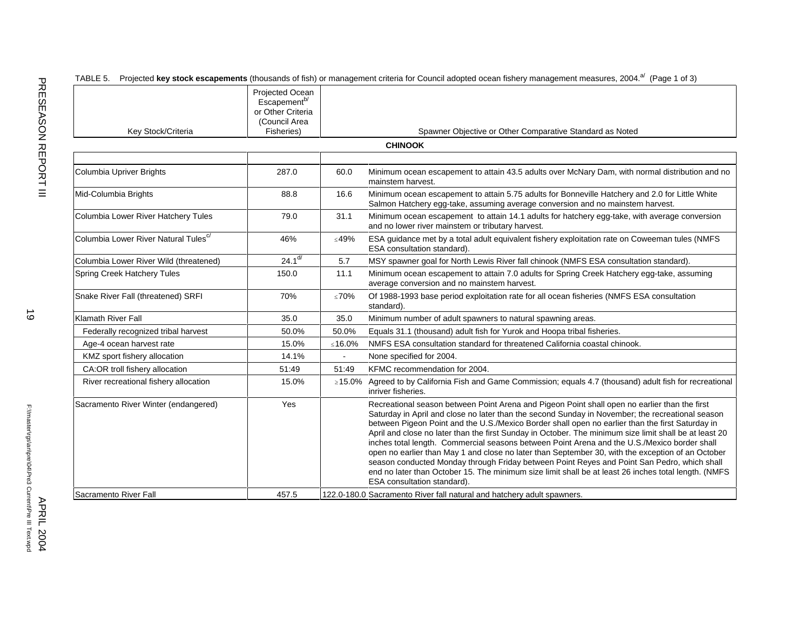|  |  | TABLE 5. Projected key stock escapements (thousands of fish) or management criteria for Council adopted ocean fishery management measures, 2004. <sup>a/</sup> (Page 1 of 3) |  |  |
|--|--|------------------------------------------------------------------------------------------------------------------------------------------------------------------------------|--|--|
|  |  |                                                                                                                                                                              |  |  |

| Key Stock/Criteria                               | Projected Ocean<br>Escapement <sup>b/</sup><br>or Other Criteria<br>(Council Area<br>Fisheries) |        | Spawner Objective or Other Comparative Standard as Noted                                                                                                                                                                                                                                                                                                                                                                                                                                                                                                                                                                                                                                                                                                                                                                                                   |
|--------------------------------------------------|-------------------------------------------------------------------------------------------------|--------|------------------------------------------------------------------------------------------------------------------------------------------------------------------------------------------------------------------------------------------------------------------------------------------------------------------------------------------------------------------------------------------------------------------------------------------------------------------------------------------------------------------------------------------------------------------------------------------------------------------------------------------------------------------------------------------------------------------------------------------------------------------------------------------------------------------------------------------------------------|
|                                                  |                                                                                                 |        | <b>CHINOOK</b>                                                                                                                                                                                                                                                                                                                                                                                                                                                                                                                                                                                                                                                                                                                                                                                                                                             |
|                                                  |                                                                                                 |        |                                                                                                                                                                                                                                                                                                                                                                                                                                                                                                                                                                                                                                                                                                                                                                                                                                                            |
| Columbia Upriver Brights                         | 287.0                                                                                           | 60.0   | Minimum ocean escapement to attain 43.5 adults over McNary Dam, with normal distribution and no<br>mainstem harvest.                                                                                                                                                                                                                                                                                                                                                                                                                                                                                                                                                                                                                                                                                                                                       |
| Mid-Columbia Brights                             | 88.8                                                                                            | 16.6   | Minimum ocean escapement to attain 5.75 adults for Bonneville Hatchery and 2.0 for Little White<br>Salmon Hatchery egg-take, assuming average conversion and no mainstem harvest.                                                                                                                                                                                                                                                                                                                                                                                                                                                                                                                                                                                                                                                                          |
| Columbia Lower River Hatchery Tules              | 79.0                                                                                            | 31.1   | Minimum ocean escapement to attain 14.1 adults for hatchery egg-take, with average conversion<br>and no lower river mainstem or tributary harvest.                                                                                                                                                                                                                                                                                                                                                                                                                                                                                                                                                                                                                                                                                                         |
| Columbia Lower River Natural Tules <sup>c/</sup> | 46%                                                                                             | ≤49%   | ESA guidance met by a total adult equivalent fishery exploitation rate on Coweeman tules (NMFS<br>ESA consultation standard).                                                                                                                                                                                                                                                                                                                                                                                                                                                                                                                                                                                                                                                                                                                              |
| Columbia Lower River Wild (threatened)           | $24.1^{d/2}$                                                                                    | 5.7    | MSY spawner goal for North Lewis River fall chinook (NMFS ESA consultation standard).                                                                                                                                                                                                                                                                                                                                                                                                                                                                                                                                                                                                                                                                                                                                                                      |
| Spring Creek Hatchery Tules                      | 150.0                                                                                           | 11.1   | Minimum ocean escapement to attain 7.0 adults for Spring Creek Hatchery egg-take, assuming<br>average conversion and no mainstem harvest.                                                                                                                                                                                                                                                                                                                                                                                                                                                                                                                                                                                                                                                                                                                  |
| Snake River Fall (threatened) SRFI               | 70%                                                                                             | ≤70%   | Of 1988-1993 base period exploitation rate for all ocean fisheries (NMFS ESA consultation<br>standard).                                                                                                                                                                                                                                                                                                                                                                                                                                                                                                                                                                                                                                                                                                                                                    |
| <b>Klamath River Fall</b>                        | 35.0                                                                                            | 35.0   | Minimum number of adult spawners to natural spawning areas.                                                                                                                                                                                                                                                                                                                                                                                                                                                                                                                                                                                                                                                                                                                                                                                                |
| Federally recognized tribal harvest              | 50.0%                                                                                           | 50.0%  | Equals 31.1 (thousand) adult fish for Yurok and Hoopa tribal fisheries.                                                                                                                                                                                                                                                                                                                                                                                                                                                                                                                                                                                                                                                                                                                                                                                    |
| Age-4 ocean harvest rate                         | 15.0%                                                                                           | ≤16.0% | NMFS ESA consultation standard for threatened California coastal chinook.                                                                                                                                                                                                                                                                                                                                                                                                                                                                                                                                                                                                                                                                                                                                                                                  |
| KMZ sport fishery allocation                     | 14.1%                                                                                           |        | None specified for 2004.                                                                                                                                                                                                                                                                                                                                                                                                                                                                                                                                                                                                                                                                                                                                                                                                                                   |
| CA:OR troll fishery allocation                   | 51:49                                                                                           | 51:49  | KFMC recommendation for 2004.                                                                                                                                                                                                                                                                                                                                                                                                                                                                                                                                                                                                                                                                                                                                                                                                                              |
| River recreational fishery allocation            | 15.0%                                                                                           |        | ≥15.0% Agreed to by California Fish and Game Commission; equals 4.7 (thousand) adult fish for recreational<br>inriver fisheries.                                                                                                                                                                                                                                                                                                                                                                                                                                                                                                                                                                                                                                                                                                                           |
| Sacramento River Winter (endangered)             | Yes                                                                                             |        | Recreational season between Point Arena and Pigeon Point shall open no earlier than the first<br>Saturday in April and close no later than the second Sunday in November; the recreational season<br>between Pigeon Point and the U.S./Mexico Border shall open no earlier than the first Saturday in<br>April and close no later than the first Sunday in October. The minimum size limit shall be at least 20<br>inches total length. Commercial seasons between Point Arena and the U.S./Mexico border shall<br>open no earlier than May 1 and close no later than September 30, with the exception of an October<br>season conducted Monday through Friday between Point Reyes and Point San Pedro, which shall<br>end no later than October 15. The minimum size limit shall be at least 26 inches total length. (NMFS<br>ESA consultation standard). |
| Sacramento River Fall                            | 457.5                                                                                           |        | 122.0-180.0 Sacramento River fall natural and hatchery adult spawners.                                                                                                                                                                                                                                                                                                                                                                                                                                                                                                                                                                                                                                                                                                                                                                                     |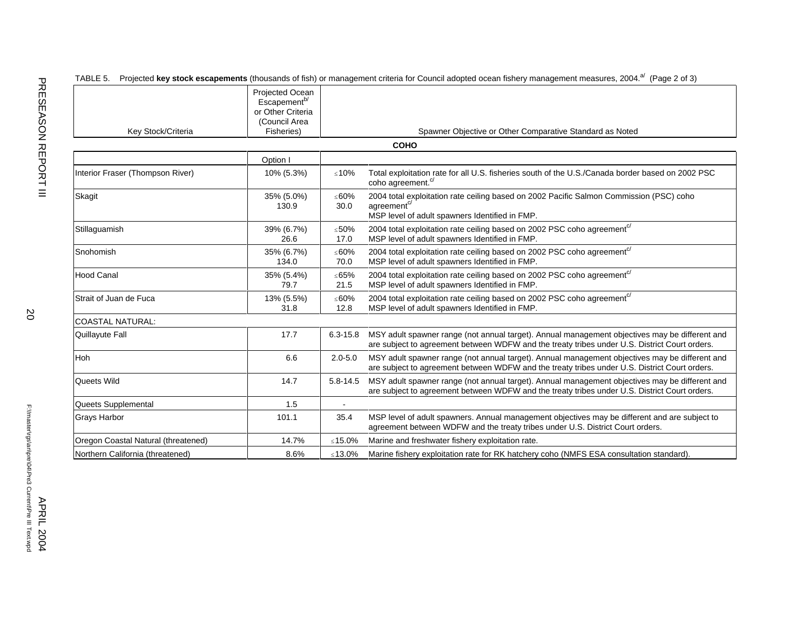|  |  |  | TABLE 5. Projected key stock escapements (thousands of fish) or management criteria for Council adopted ocean fishery management measures, 2004. <sup>a/</sup> (Page 2 of 3) |  |
|--|--|--|------------------------------------------------------------------------------------------------------------------------------------------------------------------------------|--|
|  |  |  |                                                                                                                                                                              |  |

|                                     | Projected Ocean<br>Escapement <sup>b/</sup><br>or Other Criteria<br>(Council Area |              |                                                                                                                                                                                                 |
|-------------------------------------|-----------------------------------------------------------------------------------|--------------|-------------------------------------------------------------------------------------------------------------------------------------------------------------------------------------------------|
| Key Stock/Criteria                  | Fisheries)                                                                        |              | Spawner Objective or Other Comparative Standard as Noted                                                                                                                                        |
|                                     |                                                                                   |              | <b>COHO</b>                                                                                                                                                                                     |
|                                     | Option I                                                                          |              |                                                                                                                                                                                                 |
| Interior Fraser (Thompson River)    | 10% (5.3%)                                                                        | $\leq 10\%$  | Total exploitation rate for all U.S. fisheries south of the U.S./Canada border based on 2002 PSC<br>coho agreement. <sup>c/</sup>                                                               |
| Skagit                              | 35% (5.0%)<br>130.9                                                               | ≤60%<br>30.0 | 2004 total exploitation rate ceiling based on 2002 Pacific Salmon Commission (PSC) coho<br>agreement <sup>c/</sup><br>MSP level of adult spawners Identified in FMP.                            |
| Stillaguamish                       | 39% (6.7%)<br>26.6                                                                | ≤50%<br>17.0 | 2004 total exploitation rate ceiling based on 2002 PSC coho agreement <sup>c/</sup><br>MSP level of adult spawners Identified in FMP.                                                           |
| Snohomish                           | 35% (6.7%)<br>134.0                                                               | ≤60%<br>70.0 | 2004 total exploitation rate ceiling based on 2002 PSC coho agreement <sup>c/</sup><br>MSP level of adult spawners Identified in FMP.                                                           |
| <b>Hood Canal</b>                   | 35% (5.4%)<br>79.7                                                                | ≤65%<br>21.5 | 2004 total exploitation rate ceiling based on 2002 PSC coho agreement <sup>c/</sup><br>MSP level of adult spawners Identified in FMP.                                                           |
| Strait of Juan de Fuca              | 13% (5.5%)<br>31.8                                                                | ≤60%<br>12.8 | 2004 total exploitation rate ceiling based on 2002 PSC coho agreement <sup>c/</sup><br>MSP level of adult spawners Identified in FMP.                                                           |
| <b>COASTAL NATURAL:</b>             |                                                                                   |              |                                                                                                                                                                                                 |
| Quillayute Fall                     | 17.7                                                                              | $6.3 - 15.8$ | MSY adult spawner range (not annual target). Annual management objectives may be different and<br>are subject to agreement between WDFW and the treaty tribes under U.S. District Court orders. |
| Hoh                                 | 6.6                                                                               | $2.0 - 5.0$  | MSY adult spawner range (not annual target). Annual management objectives may be different and<br>are subject to agreement between WDFW and the treaty tribes under U.S. District Court orders. |
| <b>Queets Wild</b>                  | 14.7                                                                              | $5.8 - 14.5$ | MSY adult spawner range (not annual target). Annual management objectives may be different and<br>are subject to agreement between WDFW and the treaty tribes under U.S. District Court orders. |
| Queets Supplemental                 | 1.5                                                                               |              |                                                                                                                                                                                                 |
| <b>Grays Harbor</b>                 | 101.1                                                                             | 35.4         | MSP level of adult spawners. Annual management objectives may be different and are subject to<br>agreement between WDFW and the treaty tribes under U.S. District Court orders.                 |
| Oregon Coastal Natural (threatened) | 14.7%                                                                             | ≤15.0%       | Marine and freshwater fishery exploitation rate.                                                                                                                                                |
| Northern California (threatened)    | 8.6%                                                                              | ≤13.0%       | Marine fishery exploitation rate for RK hatchery coho (NMFS ESA consultation standard).                                                                                                         |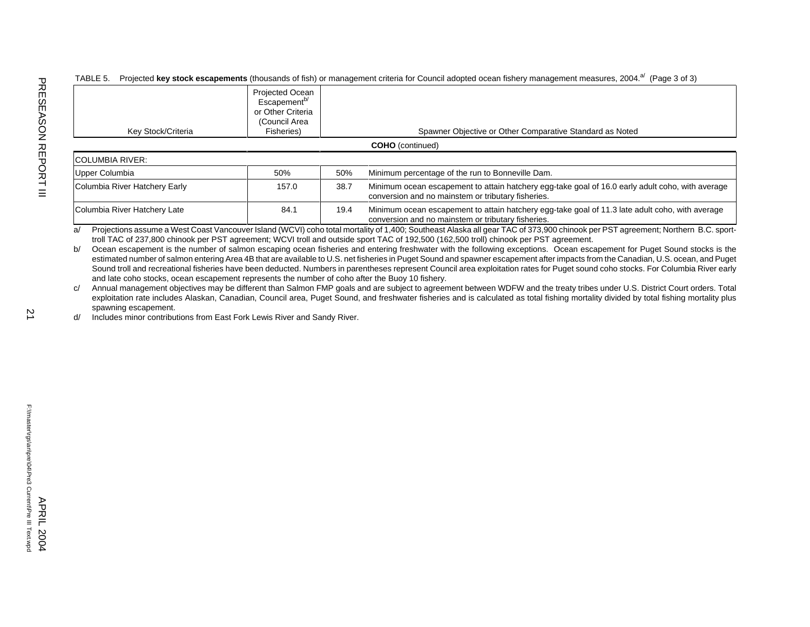#### TABLE 5. Projected key stock escapements (thousands of fish) or management criteria for Council adopted ocean fishery management measures, 2004.<sup>a/</sup> (Page 3 of 3)

|                    | Projected Ocean<br>Escapement <sup>b/</sup> |                                                          |
|--------------------|---------------------------------------------|----------------------------------------------------------|
|                    | or Other Criteria                           |                                                          |
|                    | (Council Area                               |                                                          |
| Key Stock/Criteria | Fisheries)                                  | Spawner Objective or Other Comparative Standard as Noted |

**COHO** (continued)

| ICOLUMBIA RIVER:              |       |      |                                                                                                                                                        |
|-------------------------------|-------|------|--------------------------------------------------------------------------------------------------------------------------------------------------------|
| Upper Columbia                | 50%   | 50%  | Minimum percentage of the run to Bonneville Dam.                                                                                                       |
| Columbia River Hatchery Early | 157.0 | 38.7 | Minimum ocean escapement to attain hatchery egg-take goal of 16.0 early adult coho, with average<br>conversion and no mainstem or tributary fisheries. |
| Columbia River Hatchery Late  | 84.1  | 19.4 | Minimum ocean escapement to attain hatchery egg-take goal of 11.3 late adult coho, with average<br>conversion and no mainstem or tributary fisheries.  |

a/ Projections assume a West Coast Vancouver Island (WCVI) coho total mortality of 1,400; Southeast Alaska all gear TAC of 373,900 chinook per PST agreement; Northern B.C. sporttroll TAC of 237,800 chinook per PST agreement; WCVI troll and outside sport TAC of 192,500 (162,500 troll) chinook per PST agreement.

b/ Ocean escapement is the number of salmon escaping ocean fisheries and entering freshwater with the following exceptions. Ocean escapement for Puget Sound stocks is the estimated number of salmon entering Area 4B that are available to U.S. net fisheries in Puget Sound and spawner escapement after impacts from the Canadian, U.S. ocean, and Puget Sound troll and recreational fisheries have been deducted. Numbers in parentheses represent Council area exploitation rates for Puget sound coho stocks. For Columbia River early and late coho stocks, ocean escapement represents the number of coho after the Buoy 10 fishery.

c/ Annual management objectives may be different than Salmon FMP goals and are subject to agreement between WDFW and the treaty tribes under U.S. District Court orders. Total exploitation rate includes Alaskan, Canadian, Council area, Puget Sound, and freshwater fisheries and is calculated as total fishing mortality divided by total fishing mortality plus spawning escapement.

d/ Includes minor contributions from East Fork Lewis River and Sandy River.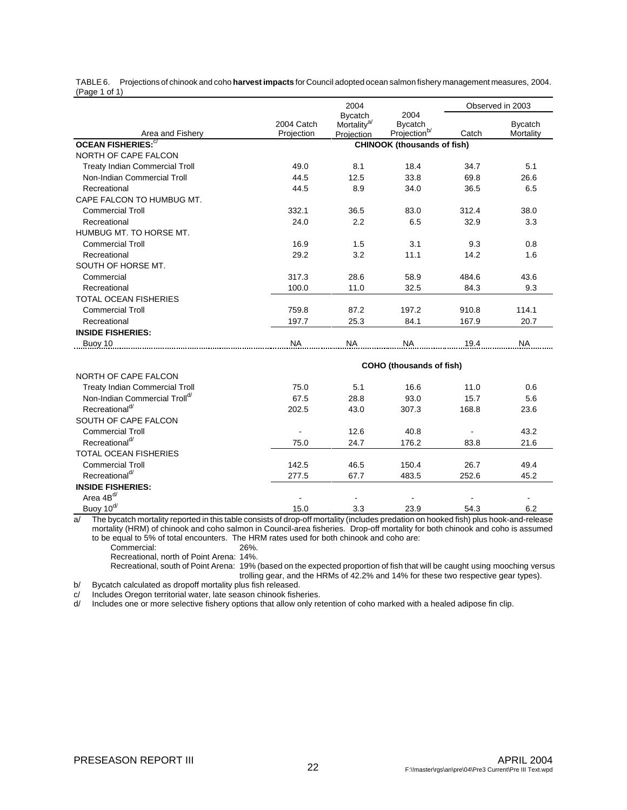|                                           |            | 2004                                      |                                             |       | Observed in 2003 |  |  |  |
|-------------------------------------------|------------|-------------------------------------------|---------------------------------------------|-------|------------------|--|--|--|
|                                           | 2004 Catch | <b>Bycatch</b><br>Mortality <sup>a/</sup> | 2004<br>Bycatch<br>Projection <sup>b/</sup> |       | <b>Bycatch</b>   |  |  |  |
| Area and Fishery                          | Projection | Projection                                |                                             | Catch | Mortality        |  |  |  |
| <b>OCEAN FISHERIES:</b>                   |            |                                           | <b>CHINOOK (thousands of fish)</b>          |       |                  |  |  |  |
| NORTH OF CAPE FALCON                      |            |                                           |                                             |       |                  |  |  |  |
| <b>Treaty Indian Commercial Troll</b>     | 49.0       | 8.1                                       | 18.4                                        | 34.7  | 5.1              |  |  |  |
| Non-Indian Commercial Troll               | 44.5       | 12.5                                      | 33.8                                        | 69.8  | 26.6             |  |  |  |
| Recreational                              | 44.5       | 8.9                                       | 34.0                                        | 36.5  | 6.5              |  |  |  |
| CAPE FALCON TO HUMBUG MT.                 |            |                                           |                                             |       |                  |  |  |  |
| <b>Commercial Troll</b>                   | 332.1      | 36.5                                      | 83.0                                        | 312.4 | 38.0             |  |  |  |
| Recreational                              | 24.0       | 2.2                                       | 6.5                                         | 32.9  | 3.3              |  |  |  |
| HUMBUG MT. TO HORSE MT.                   |            |                                           |                                             |       |                  |  |  |  |
| <b>Commercial Troll</b>                   | 16.9       | 1.5                                       | 3.1                                         | 9.3   | 0.8              |  |  |  |
| Recreational                              | 29.2       | 3.2                                       | 11.1                                        | 14.2  | 1.6              |  |  |  |
| SOUTH OF HORSE MT.                        |            |                                           |                                             |       |                  |  |  |  |
| Commercial                                | 317.3      | 28.6                                      | 58.9                                        | 484.6 | 43.6             |  |  |  |
| Recreational                              | 100.0      | 11.0                                      | 32.5                                        | 84.3  | 9.3              |  |  |  |
| <b>TOTAL OCEAN FISHERIES</b>              |            |                                           |                                             |       |                  |  |  |  |
| <b>Commercial Troll</b>                   | 759.8      | 87.2                                      | 197.2                                       | 910.8 | 114.1            |  |  |  |
| Recreational                              | 197.7      | 25.3                                      | 84.1                                        | 167.9 | 20.7             |  |  |  |
| <b>INSIDE FISHERIES:</b>                  |            |                                           |                                             |       |                  |  |  |  |
| Buoy 10                                   | <b>NA</b>  | <b>NA</b>                                 | <b>NA</b>                                   | 19.4  | <b>NA</b>        |  |  |  |
|                                           |            | <b>COHO</b> (thousands of fish)           |                                             |       |                  |  |  |  |
| NORTH OF CAPE FALCON                      |            |                                           |                                             |       |                  |  |  |  |
| <b>Treaty Indian Commercial Troll</b>     | 75.0       | 5.1                                       | 16.6                                        | 11.0  | 0.6              |  |  |  |
| Non-Indian Commercial Troll <sup>d/</sup> | 67.5       | 28.8                                      | 93.0                                        | 15.7  | 5.6              |  |  |  |
| Recreational <sup>d/</sup>                | 202.5      | 43.0                                      | 307.3                                       | 168.8 | 23.6             |  |  |  |
| SOUTH OF CAPE FALCON                      |            |                                           |                                             |       |                  |  |  |  |
| <b>Commercial Troll</b>                   |            | 12.6                                      | 40.8                                        |       | 43.2             |  |  |  |
| Recreational <sup>d/</sup>                | 75.0       | 24.7                                      | 176.2                                       | 83.8  | 21.6             |  |  |  |
| <b>TOTAL OCEAN FISHERIES</b>              |            |                                           |                                             |       |                  |  |  |  |
| <b>Commercial Troll</b>                   | 142.5      | 46.5                                      | 150.4                                       | 26.7  | 49.4             |  |  |  |
| Recreational <sup>d/</sup>                | 277.5      | 67.7                                      | 483.5                                       | 252.6 | 45.2             |  |  |  |
| <b>INSIDE FISHERIES:</b>                  |            |                                           |                                             |       |                  |  |  |  |
| Area 4B <sup>d/</sup>                     |            |                                           |                                             |       |                  |  |  |  |
| Buoy 10 <sup>d/</sup>                     | 15.0       | 3.3                                       | 23.9                                        | 54.3  | 6.2              |  |  |  |

TABLE 6. Projections of chinook and coho **harvest impacts** for Council adopted ocean salmon fishery management measures, 2004. (Page 1 of 1)

a/ The bycatch mortality reported in this table consists of drop-off mortality (includes predation on hooked fish) plus hook-and-release mortality (HRM) of chinook and coho salmon in Council-area fisheries. Drop-off mortality for both chinook and coho is assumed to be equal to 5% of total encounters. The HRM rates used for both chinook and coho are:

Commercial: 26%.

Recreational, north of Point Arena: 14%.

Recreational, south of Point Arena: 19% (based on the expected proportion of fish that will be caught using mooching versus trolling gear, and the HRMs of 42.2% and 14% for these two respective gear types).

b/ Bycatch calculated as dropoff mortality plus fish released.

c/ Includes Oregon territorial water, late season chinook fisheries.

d/ Includes one or more selective fishery options that allow only retention of coho marked with a healed adipose fin clip.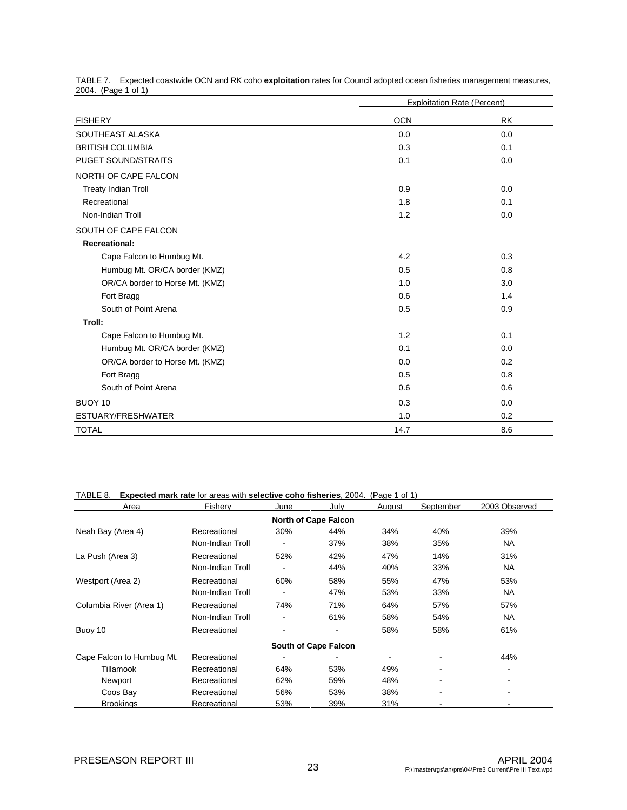|                                 | <b>Exploitation Rate (Percent)</b> |           |  |
|---------------------------------|------------------------------------|-----------|--|
| <b>FISHERY</b>                  | <b>OCN</b>                         | <b>RK</b> |  |
| SOUTHEAST ALASKA                | 0.0                                | 0.0       |  |
| <b>BRITISH COLUMBIA</b>         | 0.3                                | 0.1       |  |
| <b>PUGET SOUND/STRAITS</b>      | 0.1                                | 0.0       |  |
| NORTH OF CAPE FALCON            |                                    |           |  |
| <b>Treaty Indian Troll</b>      | 0.9                                | 0.0       |  |
| Recreational                    | 1.8                                | 0.1       |  |
| Non-Indian Troll                | 1.2                                | 0.0       |  |
| SOUTH OF CAPE FALCON            |                                    |           |  |
| <b>Recreational:</b>            |                                    |           |  |
| Cape Falcon to Humbug Mt.       | 4.2                                | 0.3       |  |
| Humbug Mt. OR/CA border (KMZ)   | 0.5                                | 0.8       |  |
| OR/CA border to Horse Mt. (KMZ) | 1.0                                | 3.0       |  |
| Fort Bragg                      | 0.6                                | 1.4       |  |
| South of Point Arena            | 0.5                                | 0.9       |  |
| Troll:                          |                                    |           |  |
| Cape Falcon to Humbug Mt.       | 1.2                                | 0.1       |  |
| Humbug Mt. OR/CA border (KMZ)   | 0.1                                | 0.0       |  |
| OR/CA border to Horse Mt. (KMZ) | 0.0                                | 0.2       |  |
| Fort Bragg                      | 0.5                                | 0.8       |  |
| South of Point Arena            | 0.6                                | 0.6       |  |
| BUOY 10                         | 0.3                                | 0.0       |  |
| ESTUARY/FRESHWATER              | 1.0                                | 0.2       |  |
| <b>TOTAL</b>                    | 14.7                               | 8.6       |  |

TABLE 7. Expected coastwide OCN and RK coho **exploitation** rates for Council adopted ocean fisheries management measures, 2004. (Page 1 of 1)

#### TABLE 8. **Expected mark rate** for areas with **selective coho fisheries**, 2004. (Page 1 of 1)

| Area                        | Fishery          | June                     | July                        | August | September | 2003 Observed |  |
|-----------------------------|------------------|--------------------------|-----------------------------|--------|-----------|---------------|--|
|                             |                  |                          | <b>North of Cape Falcon</b> |        |           |               |  |
| Neah Bay (Area 4)           | Recreational     | 30%                      | 44%                         | 34%    | 40%       | 39%           |  |
|                             | Non-Indian Troll |                          | 37%                         | 38%    | 35%       | <b>NA</b>     |  |
| La Push (Area 3)            | Recreational     | 52%                      | 42%                         | 47%    | 14%       | 31%           |  |
|                             | Non-Indian Troll |                          | 44%                         | 40%    | 33%       | <b>NA</b>     |  |
| Westport (Area 2)           | Recreational     | 60%                      | 58%                         | 55%    | 47%       | 53%           |  |
|                             | Non-Indian Troll |                          | 47%                         | 53%    | 33%       | <b>NA</b>     |  |
| Columbia River (Area 1)     | Recreational     | 74%                      | 71%                         | 64%    | 57%       | 57%           |  |
|                             | Non-Indian Troll | $\overline{\phantom{a}}$ | 61%                         | 58%    | 54%       | <b>NA</b>     |  |
| Buoy 10                     | Recreational     |                          |                             | 58%    | 58%       | 61%           |  |
| <b>South of Cape Falcon</b> |                  |                          |                             |        |           |               |  |
| Cape Falcon to Humbug Mt.   | Recreational     |                          |                             |        | -         | 44%           |  |
| Tillamook                   | Recreational     | 64%                      | 53%                         | 49%    | ۰         |               |  |
| Newport                     | Recreational     | 62%                      | 59%                         | 48%    |           |               |  |
| Coos Bay                    | Recreational     | 56%                      | 53%                         | 38%    |           |               |  |
| <b>Brookings</b>            | Recreational     | 53%                      | 39%                         | 31%    |           |               |  |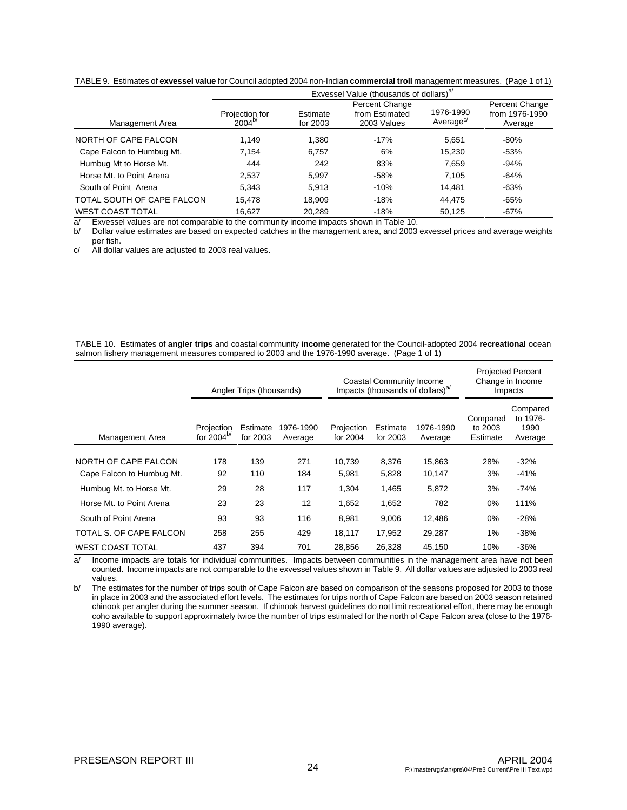|  |  | TABLE 9. Estimates of exvessel value for Council adopted 2004 non-Indian commercial troll management measures. (Page 1 of 1) |  |  |  |  |  |
|--|--|------------------------------------------------------------------------------------------------------------------------------|--|--|--|--|--|
|--|--|------------------------------------------------------------------------------------------------------------------------------|--|--|--|--|--|

|                            | Exvessel Value (thousands of dollars) <sup>a/</sup> |                      |                                                 |                                    |                                             |  |  |
|----------------------------|-----------------------------------------------------|----------------------|-------------------------------------------------|------------------------------------|---------------------------------------------|--|--|
| Management Area            | Projection for<br>2004 <sup>b/</sup>                | Estimate<br>for 2003 | Percent Change<br>from Estimated<br>2003 Values | 1976-1990<br>Average <sup>c/</sup> | Percent Change<br>from 1976-1990<br>Average |  |  |
| NORTH OF CAPE FALCON       | 1.149                                               | 1,380                | $-17%$                                          | 5.651                              | $-80%$                                      |  |  |
| Cape Falcon to Humbug Mt.  | 7,154                                               | 6,757                | 6%                                              | 15.230                             | $-53%$                                      |  |  |
| Humbug Mt to Horse Mt.     | 444                                                 | 242                  | 83%                                             | 7.659                              | $-94%$                                      |  |  |
| Horse Mt. to Point Arena   | 2,537                                               | 5,997                | $-58%$                                          | 7.105                              | $-64%$                                      |  |  |
| South of Point Arena       | 5.343                                               | 5.913                | $-10%$                                          | 14.481                             | $-63%$                                      |  |  |
| TOTAL SOUTH OF CAPE FALCON | 15.478                                              | 18,909               | $-18%$                                          | 44.475                             | $-65%$                                      |  |  |
| <b>WEST COAST TOTAL</b>    | 16.627                                              | 20.289               | $-18%$                                          | 50,125                             | $-67%$                                      |  |  |

a/ Exvessel values are not comparable to the community income impacts shown in Table 10.

b/ Dollar value estimates are based on expected catches in the management area, and 2003 exvessel prices and average weights per fish.

c/ All dollar values are adjusted to 2003 real values.

TABLE 10. Estimates of **angler trips** and coastal community **income** generated for the Council-adopted 2004 **recreational** ocean salmon fishery management measures compared to 2003 and the 1976-1990 average. (Page 1 of 1)

| Angler Trips (thousands)  |                               |                      |                      | Coastal Community Income<br>Impacts (thousands of dollars) <sup>a/</sup> |                      |                      | <b>Projected Percent</b><br>Change in Income<br>Impacts |                                         |
|---------------------------|-------------------------------|----------------------|----------------------|--------------------------------------------------------------------------|----------------------|----------------------|---------------------------------------------------------|-----------------------------------------|
| <b>Management Area</b>    | Projection<br>for $2004^{b/}$ | Estimate<br>for 2003 | 1976-1990<br>Average | Projection<br>for 2004                                                   | Estimate<br>for 2003 | 1976-1990<br>Average | Compared<br>to 2003<br>Estimate                         | Compared<br>to 1976-<br>1990<br>Average |
| NORTH OF CAPE FALCON      | 178                           | 139                  | 271                  | 10.739                                                                   | 8.376                | 15.863               | 28%                                                     | $-32%$                                  |
| Cape Falcon to Humbug Mt. | 92                            | 110                  | 184                  | 5,981                                                                    | 5,828                | 10,147               | 3%                                                      | $-41%$                                  |
| Humbug Mt. to Horse Mt.   | 29                            | 28                   | 117                  | 1,304                                                                    | 1.465                | 5,872                | 3%                                                      | $-74%$                                  |
| Horse Mt. to Point Arena  | 23                            | 23                   | 12                   | 1,652                                                                    | 1,652                | 782                  | $0\%$                                                   | 111%                                    |
| South of Point Arena      | 93                            | 93                   | 116                  | 8,981                                                                    | 9,006                | 12,486               | $0\%$                                                   | $-28%$                                  |
| TOTAL S. OF CAPE FALCON   | 258                           | 255                  | 429                  | 18.117                                                                   | 17,952               | 29,287               | 1%                                                      | $-38%$                                  |
| WEST COAST TOTAL          | 437                           | 394                  | 701                  | 28,856                                                                   | 26,328               | 45,150               | 10%                                                     | $-36%$                                  |

a/ Income impacts are totals for individual communities. Impacts between communities in the management area have not been counted. Income impacts are not comparable to the exvessel values shown in Table 9. All dollar values are adjusted to 2003 real values.

b/ The estimates for the number of trips south of Cape Falcon are based on comparison of the seasons proposed for 2003 to those in place in 2003 and the associated effort levels. The estimates for trips north of Cape Falcon are based on 2003 season retained chinook per angler during the summer season. If chinook harvest guidelines do not limit recreational effort, there may be enough coho available to support approximately twice the number of trips estimated for the north of Cape Falcon area (close to the 1976- 1990 average).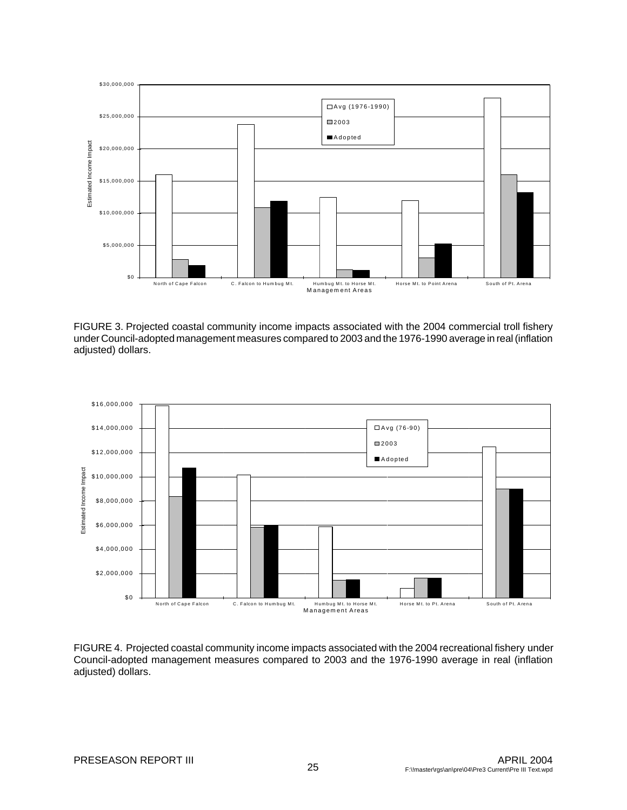

FIGURE 3. Projected coastal community income impacts associated with the 2004 commercial troll fishery under Council-adopted management measures compared to 2003 and the 1976-1990 average in real (inflation adjusted) dollars.



FIGURE 4. Projected coastal community income impacts associated with the 2004 recreational fishery under Council-adopted management measures compared to 2003 and the 1976-1990 average in real (inflation adjusted) dollars.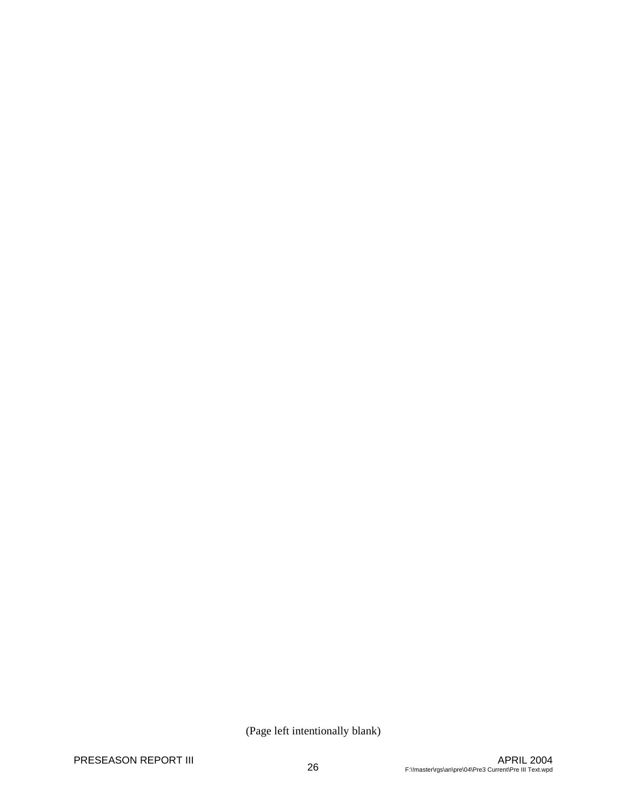(Page left intentionally blank)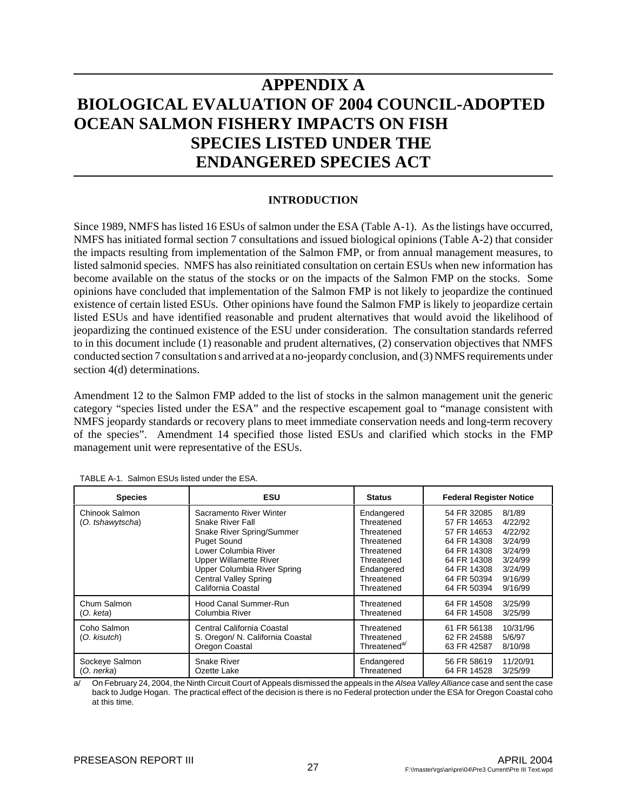## **APPENDIX A BIOLOGICAL EVALUATION OF 2004 COUNCIL-ADOPTED OCEAN SALMON FISHERY IMPACTS ON FISH SPECIES LISTED UNDER THE ENDANGERED SPECIES ACT**

## **INTRODUCTION**

Since 1989, NMFS has listed 16 ESUs of salmon under the ESA (Table A-1). As the listings have occurred, NMFS has initiated formal section 7 consultations and issued biological opinions (Table A-2) that consider the impacts resulting from implementation of the Salmon FMP, or from annual management measures, to listed salmonid species. NMFS has also reinitiated consultation on certain ESUs when new information has become available on the status of the stocks or on the impacts of the Salmon FMP on the stocks. Some opinions have concluded that implementation of the Salmon FMP is not likely to jeopardize the continued existence of certain listed ESUs. Other opinions have found the Salmon FMP is likely to jeopardize certain listed ESUs and have identified reasonable and prudent alternatives that would avoid the likelihood of jeopardizing the continued existence of the ESU under consideration. The consultation standards referred to in this document include (1) reasonable and prudent alternatives, (2) conservation objectives that NMFS conducted section 7 consultation s and arrived at a no-jeopardy conclusion, and (3) NMFS requirements under section 4(d) determinations.

Amendment 12 to the Salmon FMP added to the list of stocks in the salmon management unit the generic category "species listed under the ESA" and the respective escapement goal to "manage consistent with NMFS jeopardy standards or recovery plans to meet immediate conservation needs and long-term recovery of the species". Amendment 14 specified those listed ESUs and clarified which stocks in the FMP management unit were representative of the ESUs.

| <b>Species</b>                     | <b>ESU</b>                                                                                                                                                                                                                                   | <b>Status</b>                                                                                                              | <b>Federal Register Notice</b>                                                                                                                                                                                                        |
|------------------------------------|----------------------------------------------------------------------------------------------------------------------------------------------------------------------------------------------------------------------------------------------|----------------------------------------------------------------------------------------------------------------------------|---------------------------------------------------------------------------------------------------------------------------------------------------------------------------------------------------------------------------------------|
| Chinook Salmon<br>(O. tshawytscha) | Sacramento River Winter<br>Snake River Fall<br>Snake River Spring/Summer<br><b>Puget Sound</b><br>Lower Columbia River<br><b>Upper Willamette River</b><br>Upper Columbia River Spring<br><b>Central Valley Spring</b><br>California Coastal | Endangered<br>Threatened<br>Threatened<br>Threatened<br>Threatened<br>Threatened<br>Endangered<br>Threatened<br>Threatened | 54 FR 32085<br>8/1/89<br>57 FR 14653<br>4/22/92<br>57 FR 14653<br>4/22/92<br>64 FR 14308<br>3/24/99<br>64 FR 14308<br>3/24/99<br>64 FR 14308<br>3/24/99<br>64 FR 14308<br>3/24/99<br>64 FR 50394<br>9/16/99<br>64 FR 50394<br>9/16/99 |
| Chum Salmon<br>(O. keta)           | Hood Canal Summer-Run<br>Columbia River                                                                                                                                                                                                      | Threatened<br>Threatened                                                                                                   | 64 FR 14508<br>3/25/99<br>64 FR 14508<br>3/25/99                                                                                                                                                                                      |
| Coho Salmon<br>(O. kisutch)        | Central California Coastal<br>S. Oregon/ N. California Coastal<br>Oregon Coastal                                                                                                                                                             | Threatened<br>Threatened<br>Threatened <sup>a/</sup>                                                                       | 61 FR 56138<br>10/31/96<br>62 FR 24588<br>5/6/97<br>63 FR 42587<br>8/10/98                                                                                                                                                            |
| Sockeye Salmon<br>(O. nerka)       | <b>Snake River</b><br>Ozette Lake                                                                                                                                                                                                            | Endangered<br>Threatened                                                                                                   | 56 FR 58619<br>11/20/91<br>64 FR 14528<br>3/25/99                                                                                                                                                                                     |

TABLE A-1. Salmon ESUs listed under the ESA.

a/ On February 24, 2004, the Ninth Circuit Court of Appeals dismissed the appeals in the *Alsea Valley Alliance* case and sent the case back to Judge Hogan. The practical effect of the decision is there is no Federal protection under the ESA for Oregon Coastal coho at this time.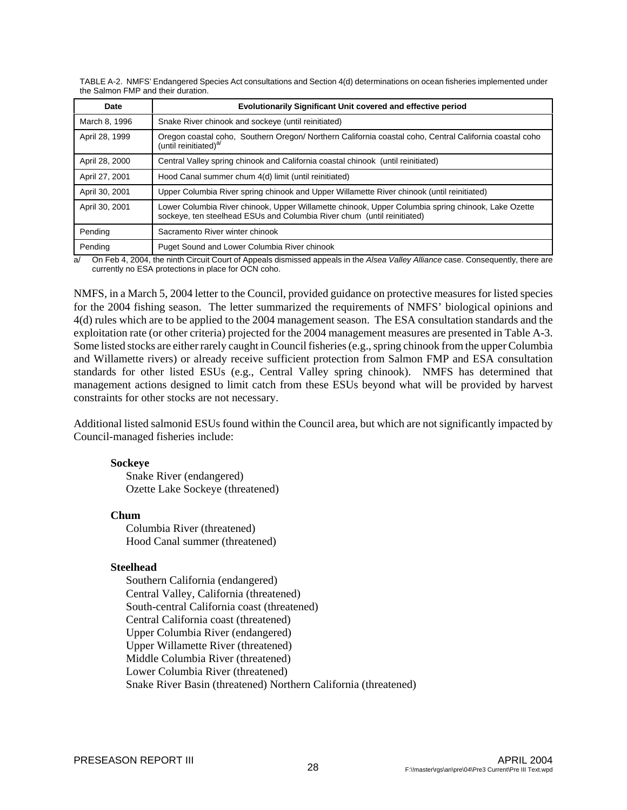TABLE A-2. NMFS' Endangered Species Act consultations and Section 4(d) determinations on ocean fisheries implemented under the Salmon FMP and their duration.

| Date           | <b>Evolutionarily Significant Unit covered and effective period</b>                                                                                                           |
|----------------|-------------------------------------------------------------------------------------------------------------------------------------------------------------------------------|
| March 8, 1996  | Snake River chinook and sockeye (until reinitiated)                                                                                                                           |
| April 28, 1999 | Oregon coastal coho, Southern Oregon/Northern California coastal coho, Central California coastal coho<br>(until reinitiated) <sup>a/</sup>                                   |
| April 28, 2000 | Central Valley spring chinook and California coastal chinook (until reinitiated)                                                                                              |
| April 27, 2001 | Hood Canal summer chum 4(d) limit (until reinitiated)                                                                                                                         |
| April 30, 2001 | Upper Columbia River spring chinook and Upper Willamette River chinook (until reinitiated)                                                                                    |
| April 30, 2001 | Lower Columbia River chinook, Upper Willamette chinook, Upper Columbia spring chinook, Lake Ozette<br>sockeye, ten steelhead ESUs and Columbia River chum (until reinitiated) |
| Pending        | Sacramento River winter chinook                                                                                                                                               |
| Pending        | Puget Sound and Lower Columbia River chinook                                                                                                                                  |

a/ On Feb 4, 2004, the ninth Circuit Court of Appeals dismissed appeals in the *Alsea Valley Alliance* case. Consequently, there are currently no ESA protections in place for OCN coho.

NMFS, in a March 5, 2004 letter to the Council, provided guidance on protective measures for listed species for the 2004 fishing season. The letter summarized the requirements of NMFS' biological opinions and 4(d) rules which are to be applied to the 2004 management season. The ESA consultation standards and the exploitation rate (or other criteria) projected for the 2004 management measures are presented in Table A-3. Some listed stocks are either rarely caught in Council fisheries (e.g., spring chinook from the upper Columbia and Willamette rivers) or already receive sufficient protection from Salmon FMP and ESA consultation standards for other listed ESUs (e.g., Central Valley spring chinook). NMFS has determined that management actions designed to limit catch from these ESUs beyond what will be provided by harvest constraints for other stocks are not necessary.

Additional listed salmonid ESUs found within the Council area, but which are not significantly impacted by Council-managed fisheries include:

#### **Sockeye**

Snake River (endangered) Ozette Lake Sockeye (threatened)

#### **Chum**

Columbia River (threatened) Hood Canal summer (threatened)

### **Steelhead**

Southern California (endangered) Central Valley, California (threatened) South-central California coast (threatened) Central California coast (threatened) Upper Columbia River (endangered) Upper Willamette River (threatened) Middle Columbia River (threatened) Lower Columbia River (threatened) Snake River Basin (threatened) Northern California (threatened)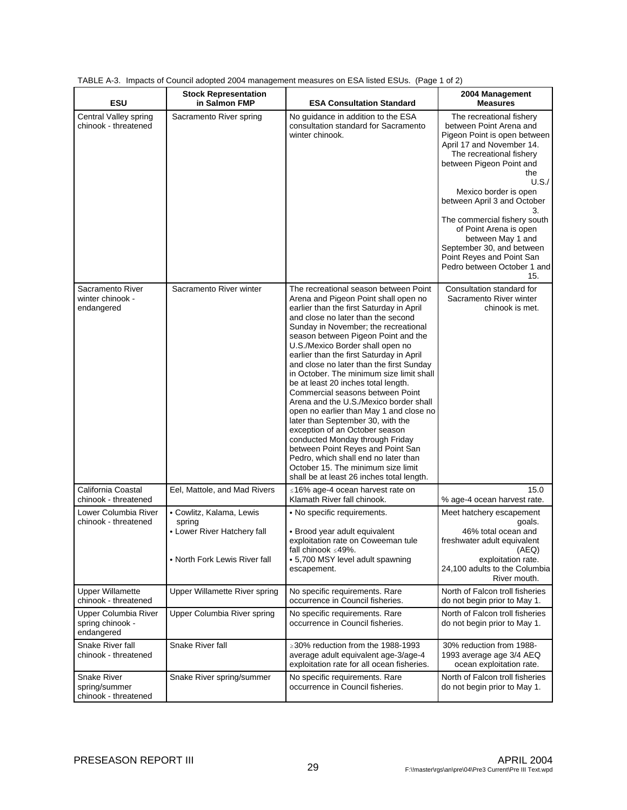|                                                             | <b>Stock Representation</b>                                            |                                                                                                                                                                                                                                                                                                                                                                                                                                                                                                                                                                                                                                                                                                                                                                                                                                                                  | 2004 Management                                                                                                                                                                                                                                                                                                                                                                                                                       |
|-------------------------------------------------------------|------------------------------------------------------------------------|------------------------------------------------------------------------------------------------------------------------------------------------------------------------------------------------------------------------------------------------------------------------------------------------------------------------------------------------------------------------------------------------------------------------------------------------------------------------------------------------------------------------------------------------------------------------------------------------------------------------------------------------------------------------------------------------------------------------------------------------------------------------------------------------------------------------------------------------------------------|---------------------------------------------------------------------------------------------------------------------------------------------------------------------------------------------------------------------------------------------------------------------------------------------------------------------------------------------------------------------------------------------------------------------------------------|
| ESU                                                         | in Salmon FMP                                                          | <b>ESA Consultation Standard</b>                                                                                                                                                                                                                                                                                                                                                                                                                                                                                                                                                                                                                                                                                                                                                                                                                                 | <b>Measures</b>                                                                                                                                                                                                                                                                                                                                                                                                                       |
| Central Valley spring<br>chinook - threatened               | Sacramento River spring                                                | No guidance in addition to the ESA<br>consultation standard for Sacramento<br>winter chinook.                                                                                                                                                                                                                                                                                                                                                                                                                                                                                                                                                                                                                                                                                                                                                                    | The recreational fishery<br>between Point Arena and<br>Pigeon Point is open between<br>April 17 and November 14.<br>The recreational fishery<br>between Pigeon Point and<br>the<br>U.S./<br>Mexico border is open<br>between April 3 and October<br>3.<br>The commercial fishery south<br>of Point Arena is open<br>between May 1 and<br>September 30, and between<br>Point Reyes and Point San<br>Pedro between October 1 and<br>15. |
| Sacramento River<br>winter chinook -<br>endangered          | Sacramento River winter                                                | The recreational season between Point<br>Arena and Pigeon Point shall open no<br>earlier than the first Saturday in April<br>and close no later than the second<br>Sunday in November; the recreational<br>season between Pigeon Point and the<br>U.S./Mexico Border shall open no<br>earlier than the first Saturday in April<br>and close no later than the first Sunday<br>in October. The minimum size limit shall<br>be at least 20 inches total length.<br>Commercial seasons between Point<br>Arena and the U.S./Mexico border shall<br>open no earlier than May 1 and close no<br>later than September 30, with the<br>exception of an October season<br>conducted Monday through Friday<br>between Point Reyes and Point San<br>Pedro, which shall end no later than<br>October 15. The minimum size limit<br>shall be at least 26 inches total length. | Consultation standard for<br>Sacramento River winter<br>chinook is met.                                                                                                                                                                                                                                                                                                                                                               |
| California Coastal<br>chinook - threatened                  | Eel, Mattole, and Mad Rivers                                           | ≤16% age-4 ocean harvest rate on<br>Klamath River fall chinook.                                                                                                                                                                                                                                                                                                                                                                                                                                                                                                                                                                                                                                                                                                                                                                                                  | 15.0<br>% age-4 ocean harvest rate.                                                                                                                                                                                                                                                                                                                                                                                                   |
| Lower Columbia River                                        | · Cowlitz, Kalama, Lewis                                               | • No specific requirements.                                                                                                                                                                                                                                                                                                                                                                                                                                                                                                                                                                                                                                                                                                                                                                                                                                      | Meet hatchery escapement                                                                                                                                                                                                                                                                                                                                                                                                              |
| chinook - threatened                                        | spring<br>• Lower River Hatchery fall<br>• North Fork Lewis River fall | • Brood year adult equivalent<br>exploitation rate on Coweeman tule<br>fall chinook ≤49%.<br>• 5,700 MSY level adult spawning                                                                                                                                                                                                                                                                                                                                                                                                                                                                                                                                                                                                                                                                                                                                    | goals.<br>46% total ocean and<br>freshwater adult equivalent<br>(AEQ)<br>exploitation rate.<br>24,100 adults to the Columbia                                                                                                                                                                                                                                                                                                          |
|                                                             |                                                                        | escapement.                                                                                                                                                                                                                                                                                                                                                                                                                                                                                                                                                                                                                                                                                                                                                                                                                                                      | River mouth.                                                                                                                                                                                                                                                                                                                                                                                                                          |
| <b>Upper Willamette</b><br>chinook - threatened             | <b>Upper Willamette River spring</b>                                   | No specific requirements. Rare<br>occurrence in Council fisheries.                                                                                                                                                                                                                                                                                                                                                                                                                                                                                                                                                                                                                                                                                                                                                                                               | North of Falcon troll fisheries<br>do not begin prior to May 1.                                                                                                                                                                                                                                                                                                                                                                       |
| Upper Columbia River<br>spring chinook -<br>endangered      | Upper Columbia River spring                                            | No specific requirements. Rare<br>occurrence in Council fisheries.                                                                                                                                                                                                                                                                                                                                                                                                                                                                                                                                                                                                                                                                                                                                                                                               | North of Falcon troll fisheries<br>do not begin prior to May 1.                                                                                                                                                                                                                                                                                                                                                                       |
| Snake River fall<br>chinook - threatened                    | Snake River fall                                                       | $\geq$ 30% reduction from the 1988-1993<br>average adult equivalent age-3/age-4<br>exploitation rate for all ocean fisheries.                                                                                                                                                                                                                                                                                                                                                                                                                                                                                                                                                                                                                                                                                                                                    | 30% reduction from 1988-<br>1993 average age 3/4 AEQ<br>ocean exploitation rate.                                                                                                                                                                                                                                                                                                                                                      |
| <b>Snake River</b><br>spring/summer<br>chinook - threatened | Snake River spring/summer                                              | No specific requirements. Rare<br>occurrence in Council fisheries.                                                                                                                                                                                                                                                                                                                                                                                                                                                                                                                                                                                                                                                                                                                                                                                               | North of Falcon troll fisheries<br>do not begin prior to May 1.                                                                                                                                                                                                                                                                                                                                                                       |

|  | TABLE A-3. Impacts of Council adopted 2004 management measures on ESA listed ESUs. (Page 1 of 2) |  |
|--|--------------------------------------------------------------------------------------------------|--|
|  |                                                                                                  |  |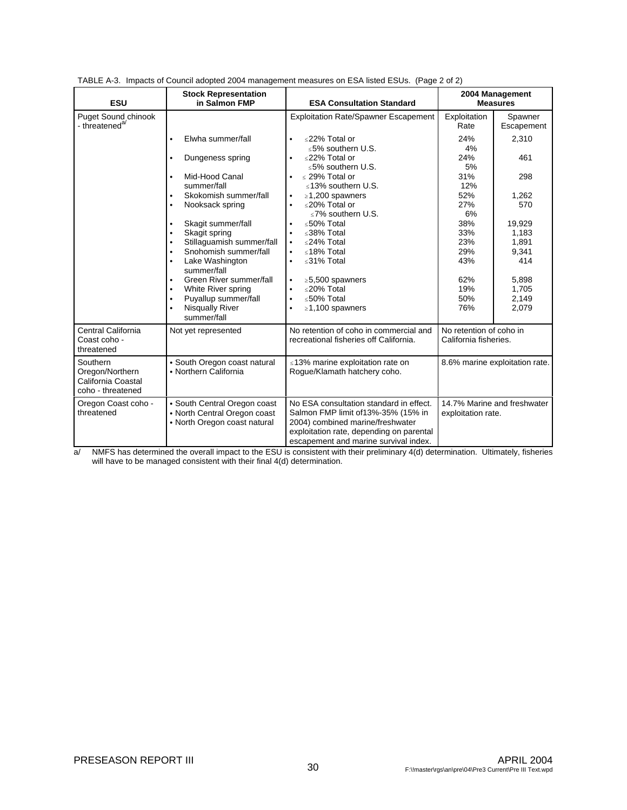| ESU                                                                    | <b>Stock Representation</b><br>in Salmon FMP                                                 | <b>ESA Consultation Standard</b>                                                                                                                                                                        | 2004 Management<br><b>Measures</b>                |                       |
|------------------------------------------------------------------------|----------------------------------------------------------------------------------------------|---------------------------------------------------------------------------------------------------------------------------------------------------------------------------------------------------------|---------------------------------------------------|-----------------------|
| Puget Sound chinook<br>threatened <sup>a/</sup>                        |                                                                                              | <b>Exploitation Rate/Spawner Escapement</b>                                                                                                                                                             | Exploitation<br>Rate                              | Spawner<br>Escapement |
|                                                                        | Elwha summer/fall<br>$\bullet$                                                               | ≤22% Total or<br>≤5% southern U.S.                                                                                                                                                                      | 24%<br>4%                                         | 2.310                 |
|                                                                        | Dungeness spring<br>$\bullet$                                                                | ≤22% Total or<br>≤5% southern U.S.                                                                                                                                                                      | 24%<br>5%                                         | 461                   |
|                                                                        | Mid-Hood Canal<br>$\bullet$<br>summer/fall                                                   | $\leq$ 29% Total or<br>≤13% southern U.S.                                                                                                                                                               | 31%<br>12%                                        | 298                   |
|                                                                        | Skokomish summer/fall<br>Nooksack spring<br>$\bullet$                                        | $\geq$ 1,200 spawners<br>$\bullet$<br>≤20% Total or                                                                                                                                                     | 52%<br>27%                                        | 1,262<br>570          |
|                                                                        |                                                                                              | ≤7% southern U.S.                                                                                                                                                                                       | 6%                                                |                       |
|                                                                        | Skagit summer/fall<br>$\bullet$<br>Skagit spring<br>$\bullet$                                | ≤50% Total<br>≤38% Total                                                                                                                                                                                | 38%<br>33%                                        | 19,929<br>1,183       |
|                                                                        | Stillaquamish summer/fall<br>$\bullet$                                                       | ≤24% Total<br>$\bullet$                                                                                                                                                                                 | 23%                                               | 1,891                 |
|                                                                        | Snohomish summer/fall<br>$\bullet$<br>$\bullet$                                              | ≤18% Total<br>$\bullet$<br>≤31% Total                                                                                                                                                                   | 29%<br>43%                                        | 9,341<br>414          |
|                                                                        | Lake Washington<br>summer/fall                                                               | $\bullet$                                                                                                                                                                                               |                                                   |                       |
|                                                                        | Green River summer/fall<br>$\bullet$                                                         | $\geq$ 5,500 spawners<br>$\bullet$                                                                                                                                                                      | 62%                                               | 5,898                 |
|                                                                        | White River spring<br>$\bullet$<br>Puyallup summer/fall<br>$\bullet$                         | ≤20% Total<br>$\bullet$<br>≤50% Total<br>$\bullet$                                                                                                                                                      | 19%<br>50%                                        | 1,705<br>2,149        |
|                                                                        | <b>Nisqually River</b><br>$\bullet$<br>summer/fall                                           | $\geq$ 1,100 spawners<br>$\bullet$                                                                                                                                                                      | 76%                                               | 2,079                 |
| Central California<br>Coast coho -<br>threatened                       | Not yet represented                                                                          | No retention of coho in commercial and<br>recreational fisheries off California.                                                                                                                        | No retention of coho in<br>California fisheries.  |                       |
| Southern<br>Oregon/Northern<br>California Coastal<br>coho - threatened | • South Oregon coast natural<br>• Northern California                                        | ≤13% marine exploitation rate on<br>Roque/Klamath hatchery coho.                                                                                                                                        | 8.6% marine exploitation rate.                    |                       |
| Oregon Coast coho -<br>threatened                                      | • South Central Oregon coast<br>• North Central Oregon coast<br>• North Oregon coast natural | No ESA consultation standard in effect.<br>Salmon FMP limit of 13%-35% (15% in<br>2004) combined marine/freshwater<br>exploitation rate, depending on parental<br>escapement and marine survival index. | 14.7% Marine and freshwater<br>exploitation rate. |                       |

|  | TABLE A-3. Impacts of Council adopted 2004 management measures on ESA listed ESUs. (Page 2 of 2) |  |
|--|--------------------------------------------------------------------------------------------------|--|
|  |                                                                                                  |  |
|  |                                                                                                  |  |

a/ NMFS has determined the overall impact to the ESU is consistent with their preliminary 4(d) determination. Ultimately, fisheries will have to be managed consistent with their final 4(d) determination.